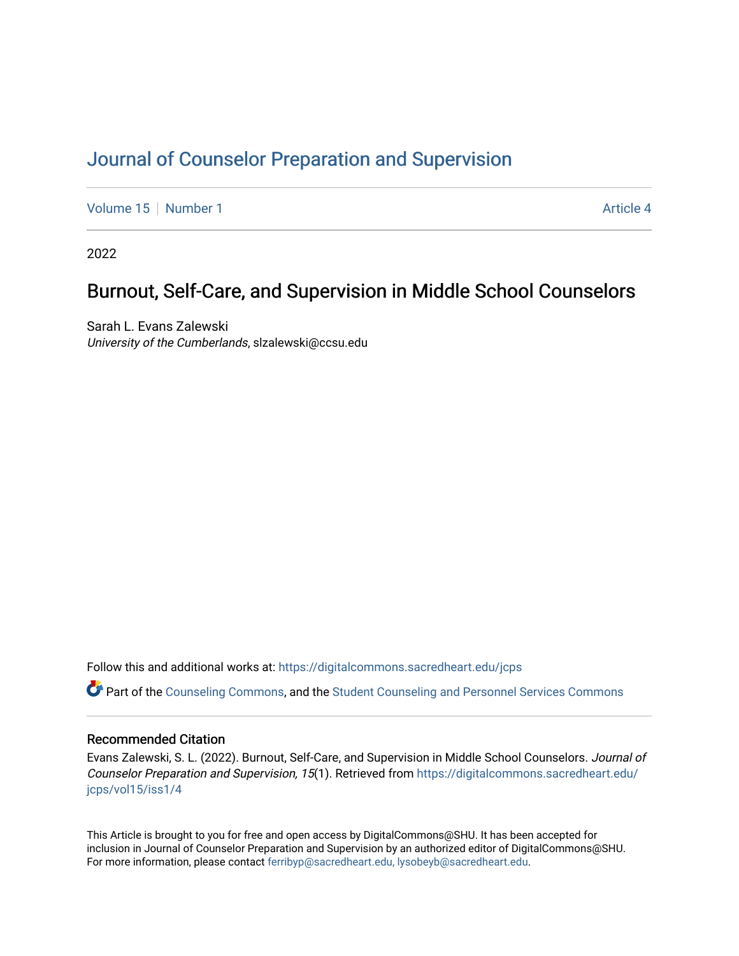# [Journal of Counselor Preparation and Supervision](https://digitalcommons.sacredheart.edu/jcps)

[Volume 15](https://digitalcommons.sacredheart.edu/jcps/vol15) [Number 1](https://digitalcommons.sacredheart.edu/jcps/vol15/iss1) Article 4

2022

# Burnout, Self-Care, and Supervision in Middle School Counselors

Sarah L. Evans Zalewski University of the Cumberlands, slzalewski@ccsu.edu

Follow this and additional works at: [https://digitalcommons.sacredheart.edu/jcps](https://digitalcommons.sacredheart.edu/jcps?utm_source=digitalcommons.sacredheart.edu%2Fjcps%2Fvol15%2Fiss1%2F4&utm_medium=PDF&utm_campaign=PDFCoverPages) 

Part of the [Counseling Commons,](http://network.bepress.com/hgg/discipline/1268?utm_source=digitalcommons.sacredheart.edu%2Fjcps%2Fvol15%2Fiss1%2F4&utm_medium=PDF&utm_campaign=PDFCoverPages) and the [Student Counseling and Personnel Services Commons](http://network.bepress.com/hgg/discipline/802?utm_source=digitalcommons.sacredheart.edu%2Fjcps%2Fvol15%2Fiss1%2F4&utm_medium=PDF&utm_campaign=PDFCoverPages) 

## Recommended Citation

Evans Zalewski, S. L. (2022). Burnout, Self-Care, and Supervision in Middle School Counselors. Journal of Counselor Preparation and Supervision, 15(1). Retrieved from [https://digitalcommons.sacredheart.edu/](https://digitalcommons.sacredheart.edu/jcps/vol15/iss1/4?utm_source=digitalcommons.sacredheart.edu%2Fjcps%2Fvol15%2Fiss1%2F4&utm_medium=PDF&utm_campaign=PDFCoverPages) [jcps/vol15/iss1/4](https://digitalcommons.sacredheart.edu/jcps/vol15/iss1/4?utm_source=digitalcommons.sacredheart.edu%2Fjcps%2Fvol15%2Fiss1%2F4&utm_medium=PDF&utm_campaign=PDFCoverPages) 

This Article is brought to you for free and open access by DigitalCommons@SHU. It has been accepted for inclusion in Journal of Counselor Preparation and Supervision by an authorized editor of DigitalCommons@SHU. For more information, please contact [ferribyp@sacredheart.edu, lysobeyb@sacredheart.edu.](mailto:ferribyp@sacredheart.edu,%20lysobeyb@sacredheart.edu)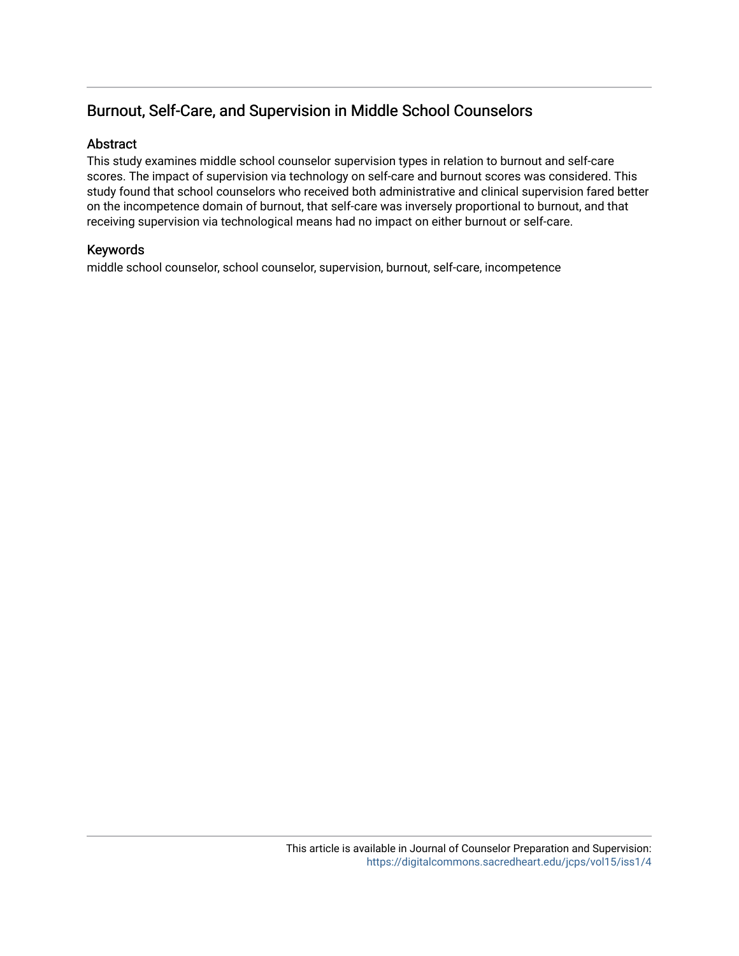# Burnout, Self-Care, and Supervision in Middle School Counselors

# Abstract

This study examines middle school counselor supervision types in relation to burnout and self-care scores. The impact of supervision via technology on self-care and burnout scores was considered. This study found that school counselors who received both administrative and clinical supervision fared better on the incompetence domain of burnout, that self-care was inversely proportional to burnout, and that receiving supervision via technological means had no impact on either burnout or self-care.

# Keywords

middle school counselor, school counselor, supervision, burnout, self-care, incompetence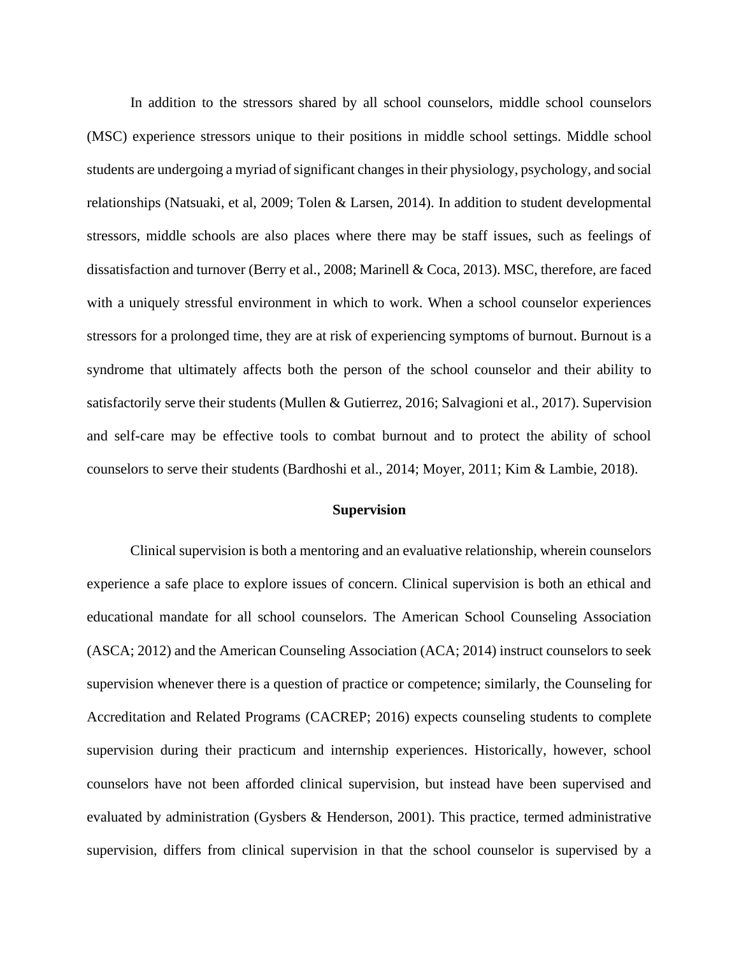In addition to the stressors shared by all school counselors, middle school counselors (MSC) experience stressors unique to their positions in middle school settings. Middle school students are undergoing a myriad of significant changes in their physiology, psychology, and social relationships (Natsuaki, et al, 2009; Tolen & Larsen, 2014). In addition to student developmental stressors, middle schools are also places where there may be staff issues, such as feelings of dissatisfaction and turnover (Berry et al., 2008; Marinell & Coca, 2013). MSC, therefore, are faced with a uniquely stressful environment in which to work. When a school counselor experiences stressors for a prolonged time, they are at risk of experiencing symptoms of burnout. Burnout is a syndrome that ultimately affects both the person of the school counselor and their ability to satisfactorily serve their students (Mullen & Gutierrez, 2016; Salvagioni et al., 2017). Supervision and self-care may be effective tools to combat burnout and to protect the ability of school counselors to serve their students (Bardhoshi et al., 2014; Moyer, 2011; Kim & Lambie, 2018).

## **Supervision**

Clinical supervision is both a mentoring and an evaluative relationship, wherein counselors experience a safe place to explore issues of concern. Clinical supervision is both an ethical and educational mandate for all school counselors. The American School Counseling Association (ASCA; 2012) and the American Counseling Association (ACA; 2014) instruct counselors to seek supervision whenever there is a question of practice or competence; similarly, the Counseling for Accreditation and Related Programs (CACREP; 2016) expects counseling students to complete supervision during their practicum and internship experiences. Historically, however, school counselors have not been afforded clinical supervision, but instead have been supervised and evaluated by administration (Gysbers & Henderson, 2001). This practice, termed administrative supervision, differs from clinical supervision in that the school counselor is supervised by a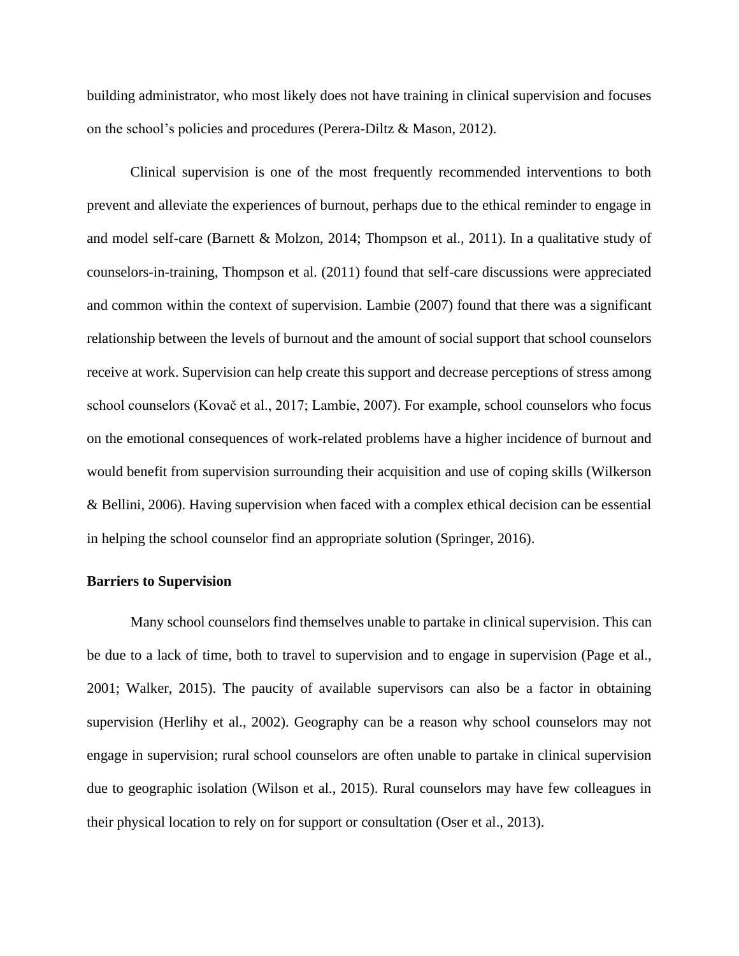building administrator, who most likely does not have training in clinical supervision and focuses on the school's policies and procedures (Perera-Diltz & Mason, 2012).

Clinical supervision is one of the most frequently recommended interventions to both prevent and alleviate the experiences of burnout, perhaps due to the ethical reminder to engage in and model self-care (Barnett & Molzon, 2014; Thompson et al., 2011). In a qualitative study of counselors-in-training, Thompson et al. (2011) found that self-care discussions were appreciated and common within the context of supervision. Lambie (2007) found that there was a significant relationship between the levels of burnout and the amount of social support that school counselors receive at work. Supervision can help create this support and decrease perceptions of stress among school counselors (Kovač et al., 2017; Lambie, 2007). For example, school counselors who focus on the emotional consequences of work-related problems have a higher incidence of burnout and would benefit from supervision surrounding their acquisition and use of coping skills (Wilkerson & Bellini, 2006). Having supervision when faced with a complex ethical decision can be essential in helping the school counselor find an appropriate solution (Springer, 2016).

## **Barriers to Supervision**

Many school counselors find themselves unable to partake in clinical supervision. This can be due to a lack of time, both to travel to supervision and to engage in supervision (Page et al., 2001; Walker, 2015). The paucity of available supervisors can also be a factor in obtaining supervision (Herlihy et al., 2002). Geography can be a reason why school counselors may not engage in supervision; rural school counselors are often unable to partake in clinical supervision due to geographic isolation (Wilson et al., 2015). Rural counselors may have few colleagues in their physical location to rely on for support or consultation (Oser et al., 2013).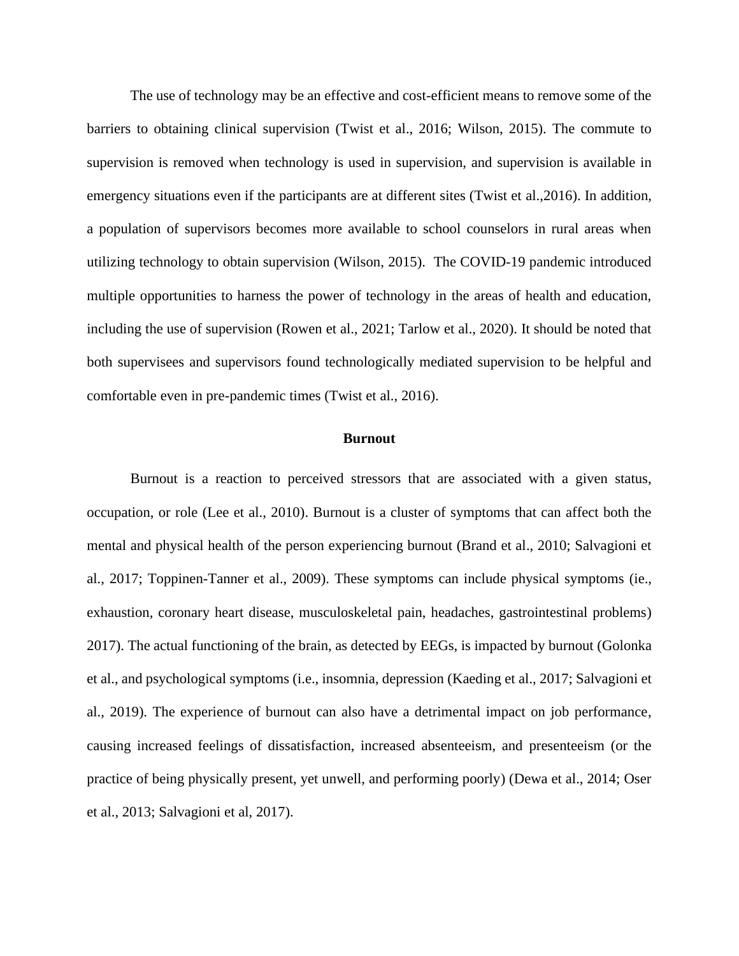The use of technology may be an effective and cost-efficient means to remove some of the barriers to obtaining clinical supervision (Twist et al., 2016; Wilson, 2015). The commute to supervision is removed when technology is used in supervision, and supervision is available in emergency situations even if the participants are at different sites (Twist et al.,2016). In addition, a population of supervisors becomes more available to school counselors in rural areas when utilizing technology to obtain supervision (Wilson, 2015). The COVID-19 pandemic introduced multiple opportunities to harness the power of technology in the areas of health and education, including the use of supervision (Rowen et al., 2021; Tarlow et al., 2020). It should be noted that both supervisees and supervisors found technologically mediated supervision to be helpful and comfortable even in pre-pandemic times (Twist et al., 2016).

#### **Burnout**

Burnout is a reaction to perceived stressors that are associated with a given status, occupation, or role (Lee et al., 2010). Burnout is a cluster of symptoms that can affect both the mental and physical health of the person experiencing burnout (Brand et al., 2010; Salvagioni et al., 2017; Toppinen-Tanner et al., 2009). These symptoms can include physical symptoms (ie., exhaustion, coronary heart disease, musculoskeletal pain, headaches, gastrointestinal problems) 2017). The actual functioning of the brain, as detected by EEGs, is impacted by burnout (Golonka et al., and psychological symptoms (i.e., insomnia, depression (Kaeding et al., 2017; Salvagioni et al., 2019). The experience of burnout can also have a detrimental impact on job performance, causing increased feelings of dissatisfaction, increased absenteeism, and presenteeism (or the practice of being physically present, yet unwell, and performing poorly) (Dewa et al., 2014; Oser et al., 2013; Salvagioni et al, 2017).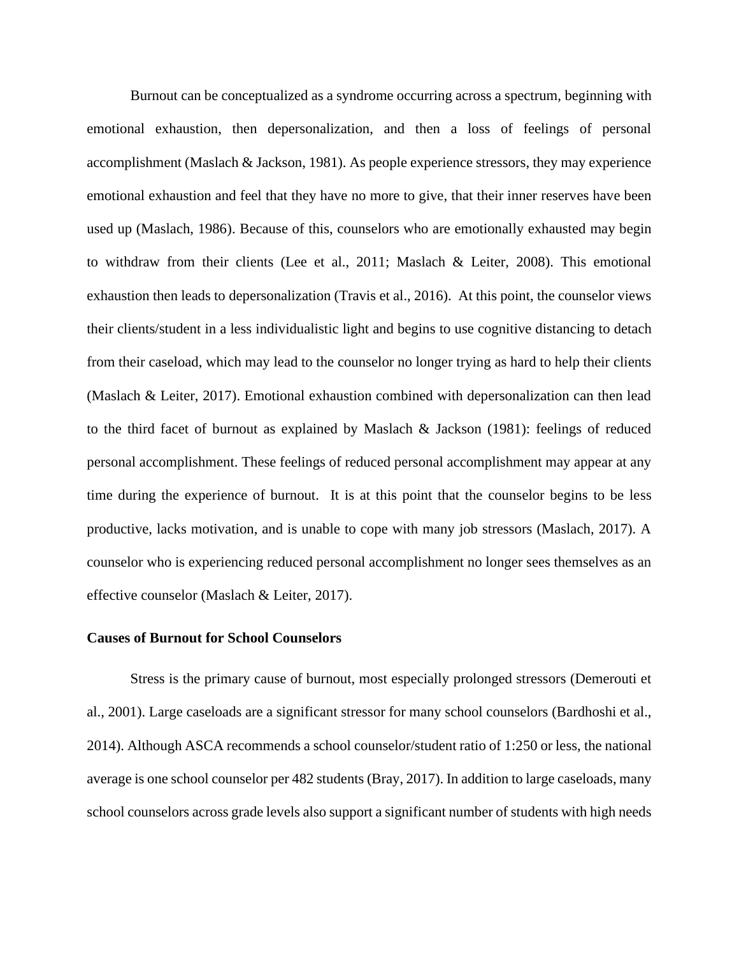Burnout can be conceptualized as a syndrome occurring across a spectrum, beginning with emotional exhaustion, then depersonalization, and then a loss of feelings of personal accomplishment (Maslach & Jackson, 1981). As people experience stressors, they may experience emotional exhaustion and feel that they have no more to give, that their inner reserves have been used up (Maslach, 1986). Because of this, counselors who are emotionally exhausted may begin to withdraw from their clients (Lee et al., 2011; Maslach & Leiter, 2008). This emotional exhaustion then leads to depersonalization (Travis et al., 2016). At this point, the counselor views their clients/student in a less individualistic light and begins to use cognitive distancing to detach from their caseload, which may lead to the counselor no longer trying as hard to help their clients (Maslach & Leiter, 2017). Emotional exhaustion combined with depersonalization can then lead to the third facet of burnout as explained by Maslach & Jackson (1981): feelings of reduced personal accomplishment. These feelings of reduced personal accomplishment may appear at any time during the experience of burnout. It is at this point that the counselor begins to be less productive, lacks motivation, and is unable to cope with many job stressors (Maslach, 2017). A counselor who is experiencing reduced personal accomplishment no longer sees themselves as an effective counselor (Maslach & Leiter, 2017).

### **Causes of Burnout for School Counselors**

Stress is the primary cause of burnout, most especially prolonged stressors (Demerouti et al., 2001). Large caseloads are a significant stressor for many school counselors (Bardhoshi et al., 2014). Although ASCA recommends a school counselor/student ratio of 1:250 or less, the national average is one school counselor per 482 students (Bray, 2017). In addition to large caseloads, many school counselors across grade levels also support a significant number of students with high needs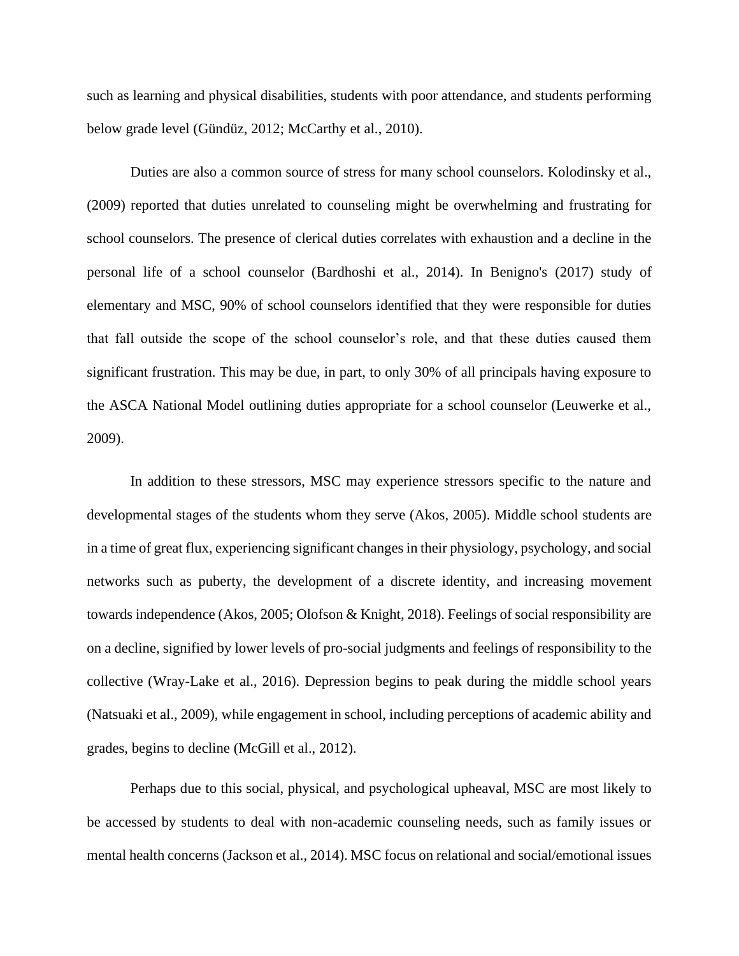such as learning and physical disabilities, students with poor attendance, and students performing below grade level (Gündüz, 2012; McCarthy et al., 2010).

Duties are also a common source of stress for many school counselors. Kolodinsky et al., (2009) reported that duties unrelated to counseling might be overwhelming and frustrating for school counselors. The presence of clerical duties correlates with exhaustion and a decline in the personal life of a school counselor (Bardhoshi et al., 2014). In Benigno's (2017) study of elementary and MSC, 90% of school counselors identified that they were responsible for duties that fall outside the scope of the school counselor's role, and that these duties caused them significant frustration. This may be due, in part, to only 30% of all principals having exposure to the ASCA National Model outlining duties appropriate for a school counselor (Leuwerke et al., 2009).

In addition to these stressors, MSC may experience stressors specific to the nature and developmental stages of the students whom they serve (Akos, 2005). Middle school students are in a time of great flux, experiencing significant changes in their physiology, psychology, and social networks such as puberty, the development of a discrete identity, and increasing movement towards independence (Akos, 2005; Olofson & Knight, 2018). Feelings of social responsibility are on a decline, signified by lower levels of pro-social judgments and feelings of responsibility to the collective (Wray-Lake et al., 2016). Depression begins to peak during the middle school years (Natsuaki et al., 2009), while engagement in school, including perceptions of academic ability and grades, begins to decline (McGill et al., 2012).

Perhaps due to this social, physical, and psychological upheaval, MSC are most likely to be accessed by students to deal with non-academic counseling needs, such as family issues or mental health concerns (Jackson et al., 2014). MSC focus on relational and social/emotional issues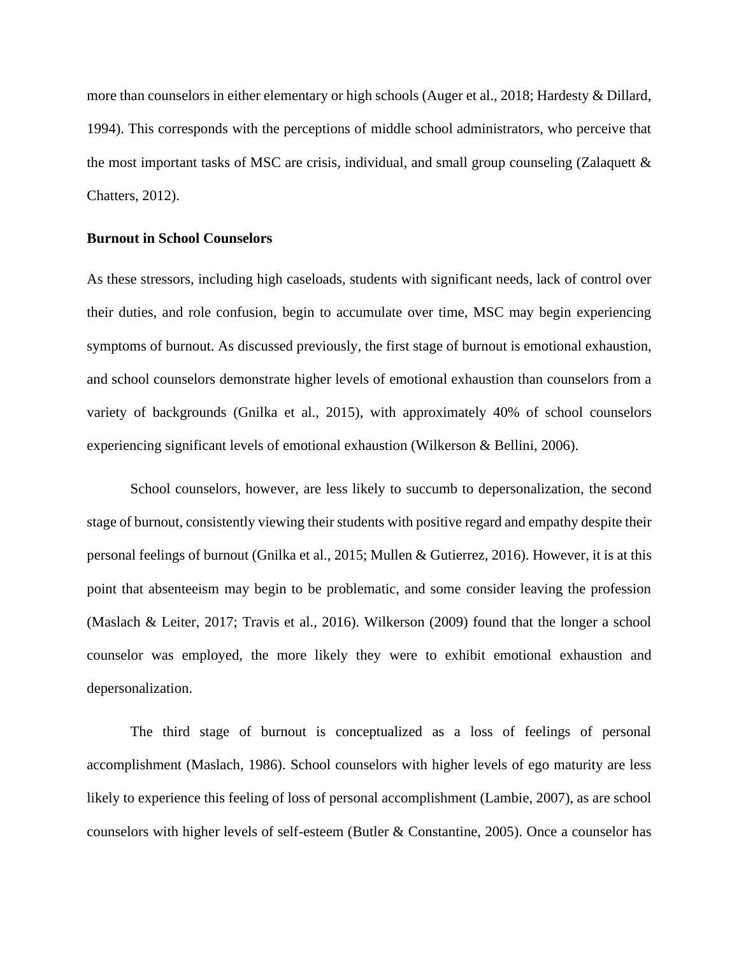more than counselors in either elementary or high schools (Auger et al., 2018; Hardesty & Dillard, 1994). This corresponds with the perceptions of middle school administrators, who perceive that the most important tasks of MSC are crisis, individual, and small group counseling (Zalaquett  $\&$ Chatters, 2012).

# **Burnout in School Counselors**

As these stressors, including high caseloads, students with significant needs, lack of control over their duties, and role confusion, begin to accumulate over time, MSC may begin experiencing symptoms of burnout. As discussed previously, the first stage of burnout is emotional exhaustion, and school counselors demonstrate higher levels of emotional exhaustion than counselors from a variety of backgrounds (Gnilka et al., 2015), with approximately 40% of school counselors experiencing significant levels of emotional exhaustion (Wilkerson & Bellini, 2006).

School counselors, however, are less likely to succumb to depersonalization, the second stage of burnout, consistently viewing their students with positive regard and empathy despite their personal feelings of burnout (Gnilka et al., 2015; Mullen & Gutierrez, 2016). However, it is at this point that absenteeism may begin to be problematic, and some consider leaving the profession (Maslach & Leiter, 2017; Travis et al., 2016). Wilkerson (2009) found that the longer a school counselor was employed, the more likely they were to exhibit emotional exhaustion and depersonalization.

The third stage of burnout is conceptualized as a loss of feelings of personal accomplishment (Maslach, 1986). School counselors with higher levels of ego maturity are less likely to experience this feeling of loss of personal accomplishment (Lambie, 2007), as are school counselors with higher levels of self-esteem (Butler & Constantine, 2005). Once a counselor has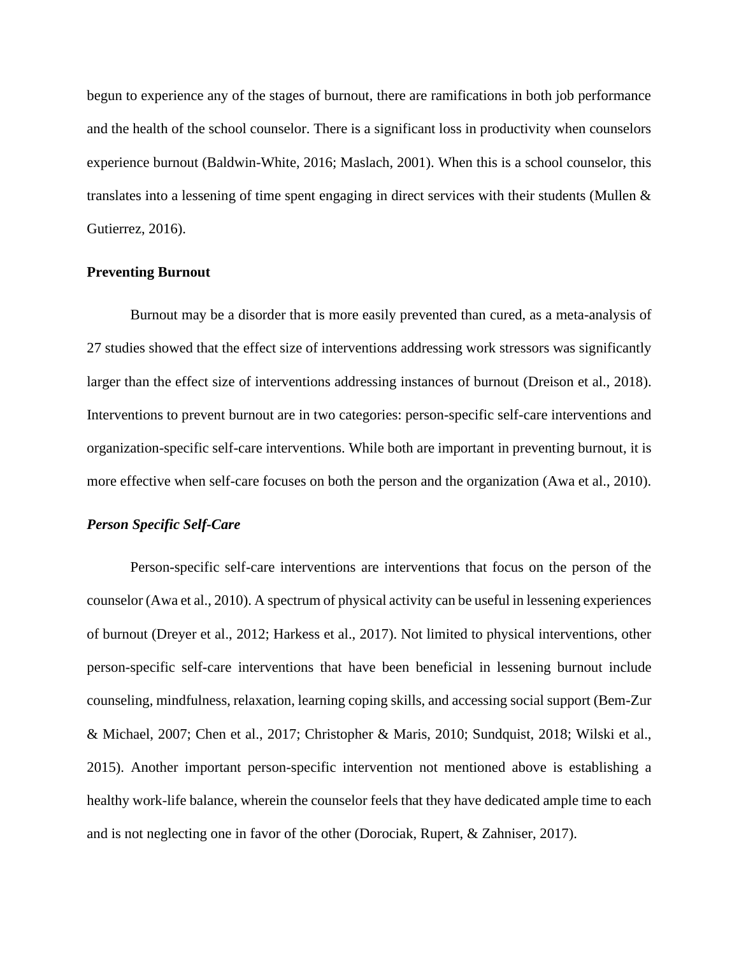begun to experience any of the stages of burnout, there are ramifications in both job performance and the health of the school counselor. There is a significant loss in productivity when counselors experience burnout (Baldwin-White, 2016; Maslach, 2001). When this is a school counselor, this translates into a lessening of time spent engaging in direct services with their students (Mullen & Gutierrez, 2016).

## **Preventing Burnout**

Burnout may be a disorder that is more easily prevented than cured, as a meta-analysis of 27 studies showed that the effect size of interventions addressing work stressors was significantly larger than the effect size of interventions addressing instances of burnout (Dreison et al., 2018). Interventions to prevent burnout are in two categories: person-specific self-care interventions and organization-specific self-care interventions. While both are important in preventing burnout, it is more effective when self-care focuses on both the person and the organization (Awa et al., 2010).

# *Person Specific Self-Care*

Person-specific self-care interventions are interventions that focus on the person of the counselor (Awa et al., 2010). A spectrum of physical activity can be useful in lessening experiences of burnout (Dreyer et al., 2012; Harkess et al., 2017). Not limited to physical interventions, other person-specific self-care interventions that have been beneficial in lessening burnout include counseling, mindfulness, relaxation, learning coping skills, and accessing social support (Bem-Zur & Michael, 2007; Chen et al., 2017; Christopher & Maris, 2010; Sundquist, 2018; Wilski et al., 2015). Another important person-specific intervention not mentioned above is establishing a healthy work-life balance, wherein the counselor feels that they have dedicated ample time to each and is not neglecting one in favor of the other (Dorociak, Rupert, & Zahniser, 2017).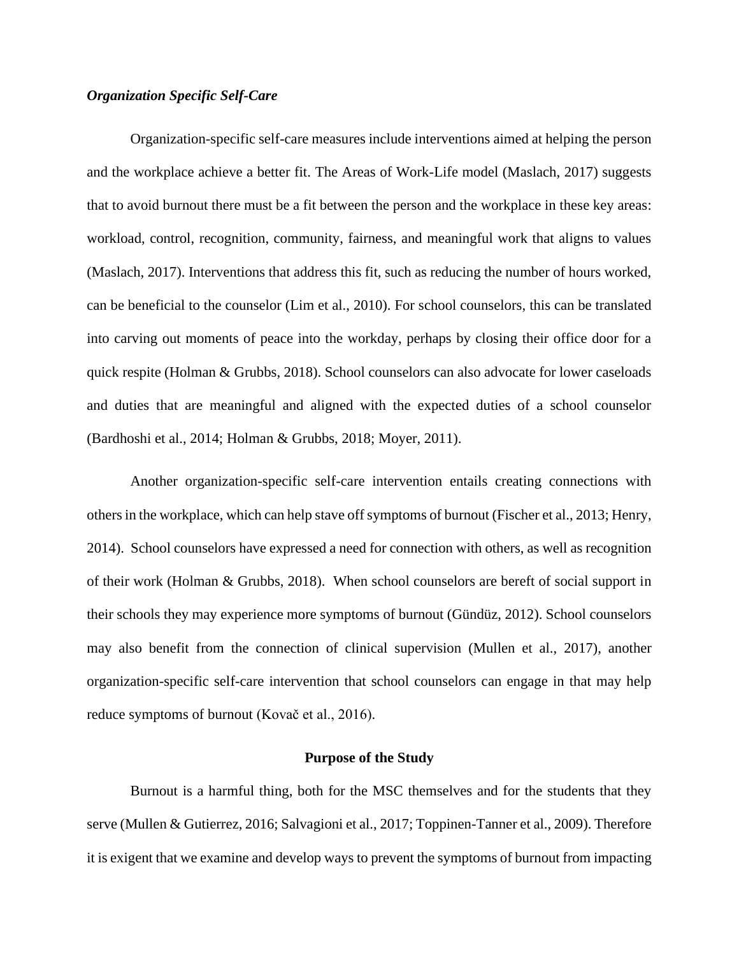## *Organization Specific Self-Care*

Organization-specific self-care measures include interventions aimed at helping the person and the workplace achieve a better fit. The Areas of Work-Life model (Maslach, 2017) suggests that to avoid burnout there must be a fit between the person and the workplace in these key areas: workload, control, recognition, community, fairness, and meaningful work that aligns to values (Maslach, 2017). Interventions that address this fit, such as reducing the number of hours worked, can be beneficial to the counselor (Lim et al., 2010). For school counselors, this can be translated into carving out moments of peace into the workday, perhaps by closing their office door for a quick respite (Holman & Grubbs, 2018). School counselors can also advocate for lower caseloads and duties that are meaningful and aligned with the expected duties of a school counselor (Bardhoshi et al., 2014; Holman & Grubbs, 2018; Moyer, 2011).

Another organization-specific self-care intervention entails creating connections with others in the workplace, which can help stave off symptoms of burnout (Fischer et al., 2013; Henry, 2014). School counselors have expressed a need for connection with others, as well as recognition of their work (Holman & Grubbs, 2018). When school counselors are bereft of social support in their schools they may experience more symptoms of burnout (Gündüz, 2012). School counselors may also benefit from the connection of clinical supervision (Mullen et al., 2017), another organization-specific self-care intervention that school counselors can engage in that may help reduce symptoms of burnout (Kovač et al., 2016).

#### **Purpose of the Study**

Burnout is a harmful thing, both for the MSC themselves and for the students that they serve (Mullen & Gutierrez, 2016; Salvagioni et al., 2017; Toppinen-Tanner et al., 2009). Therefore it is exigent that we examine and develop ways to prevent the symptoms of burnout from impacting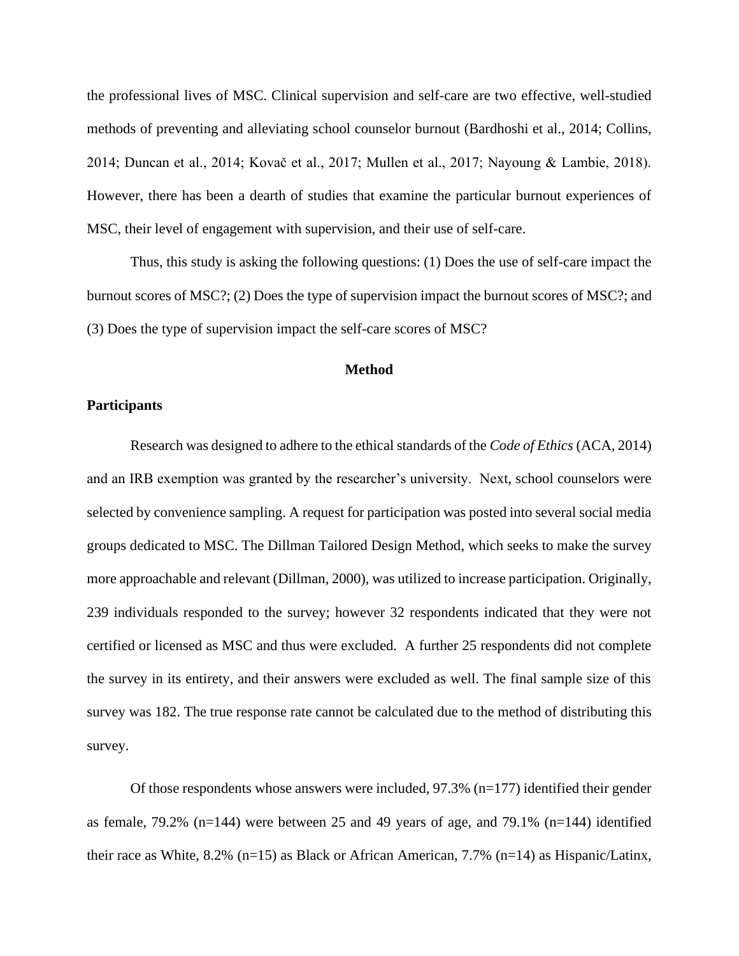the professional lives of MSC. Clinical supervision and self-care are two effective, well-studied methods of preventing and alleviating school counselor burnout (Bardhoshi et al., 2014; Collins, 2014; Duncan et al., 2014; Kovač et al., 2017; Mullen et al., 2017; Nayoung & Lambie, 2018). However, there has been a dearth of studies that examine the particular burnout experiences of MSC, their level of engagement with supervision, and their use of self-care.

Thus, this study is asking the following questions: (1) Does the use of self-care impact the burnout scores of MSC?; (2) Does the type of supervision impact the burnout scores of MSC?; and (3) Does the type of supervision impact the self-care scores of MSC?

### **Method**

## **Participants**

Research was designed to adhere to the ethical standards of the *Code of Ethics* (ACA, 2014) and an IRB exemption was granted by the researcher's university. Next, school counselors were selected by convenience sampling. A request for participation was posted into several social media groups dedicated to MSC. The Dillman Tailored Design Method, which seeks to make the survey more approachable and relevant (Dillman, 2000), was utilized to increase participation. Originally, 239 individuals responded to the survey; however 32 respondents indicated that they were not certified or licensed as MSC and thus were excluded. A further 25 respondents did not complete the survey in its entirety, and their answers were excluded as well. The final sample size of this survey was 182. The true response rate cannot be calculated due to the method of distributing this survey.

Of those respondents whose answers were included,  $97.3\%$  (n=177) identified their gender as female, 79.2% (n=144) were between 25 and 49 years of age, and 79.1% (n=144) identified their race as White, 8.2% (n=15) as Black or African American, 7.7% (n=14) as Hispanic/Latinx,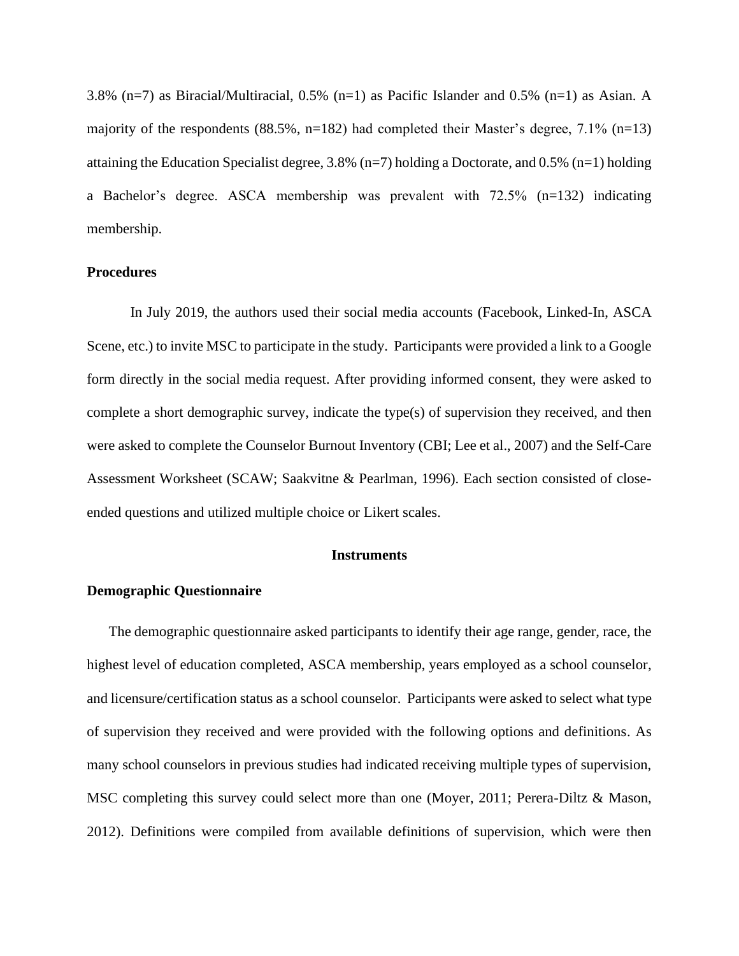3.8% (n=7) as Biracial/Multiracial, 0.5% (n=1) as Pacific Islander and 0.5% (n=1) as Asian. A majority of the respondents (88.5%, n=182) had completed their Master's degree,  $7.1\%$  (n=13) attaining the Education Specialist degree,  $3.8\%$  (n=7) holding a Doctorate, and 0.5% (n=1) holding a Bachelor's degree. ASCA membership was prevalent with 72.5% (n=132) indicating membership.

# **Procedures**

In July 2019, the authors used their social media accounts (Facebook, Linked-In, ASCA Scene, etc.) to invite MSC to participate in the study. Participants were provided a link to a Google form directly in the social media request. After providing informed consent, they were asked to complete a short demographic survey, indicate the type(s) of supervision they received, and then were asked to complete the Counselor Burnout Inventory (CBI; Lee et al., 2007) and the Self-Care Assessment Worksheet (SCAW; Saakvitne & Pearlman, 1996). Each section consisted of closeended questions and utilized multiple choice or Likert scales.

#### **Instruments**

# **Demographic Questionnaire**

The demographic questionnaire asked participants to identify their age range, gender, race, the highest level of education completed, ASCA membership, years employed as a school counselor, and licensure/certification status as a school counselor. Participants were asked to select what type of supervision they received and were provided with the following options and definitions. As many school counselors in previous studies had indicated receiving multiple types of supervision, MSC completing this survey could select more than one (Moyer, 2011; Perera-Diltz & Mason, 2012). Definitions were compiled from available definitions of supervision, which were then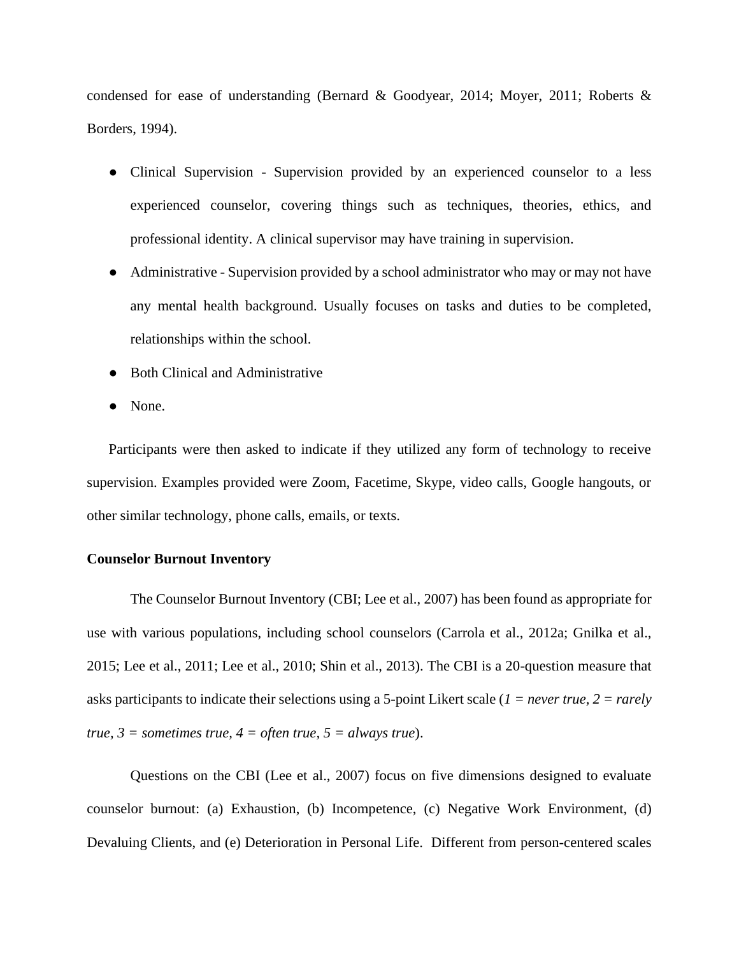condensed for ease of understanding (Bernard & Goodyear, 2014; Moyer, 2011; Roberts & Borders, 1994).

- Clinical Supervision Supervision provided by an experienced counselor to a less experienced counselor, covering things such as techniques, theories, ethics, and professional identity. A clinical supervisor may have training in supervision.
- Administrative Supervision provided by a school administrator who may or may not have any mental health background. Usually focuses on tasks and duties to be completed, relationships within the school.
- Both Clinical and Administrative
- None.

Participants were then asked to indicate if they utilized any form of technology to receive supervision. Examples provided were Zoom, Facetime, Skype, video calls, Google hangouts, or other similar technology, phone calls, emails, or texts.

## **Counselor Burnout Inventory**

The Counselor Burnout Inventory (CBI; Lee et al., 2007) has been found as appropriate for use with various populations, including school counselors (Carrola et al., 2012a; Gnilka et al., 2015; Lee et al., 2011; Lee et al., 2010; Shin et al., 2013). The CBI is a 20-question measure that asks participants to indicate their selections using a 5-point Likert scale (*1 = never true, 2 = rarely true,*  $3 =$  *sometimes true,*  $4 =$  *often true,*  $5 =$  *always true*).

Questions on the CBI (Lee et al., 2007) focus on five dimensions designed to evaluate counselor burnout: (a) Exhaustion, (b) Incompetence, (c) Negative Work Environment, (d) Devaluing Clients, and (e) Deterioration in Personal Life. Different from person-centered scales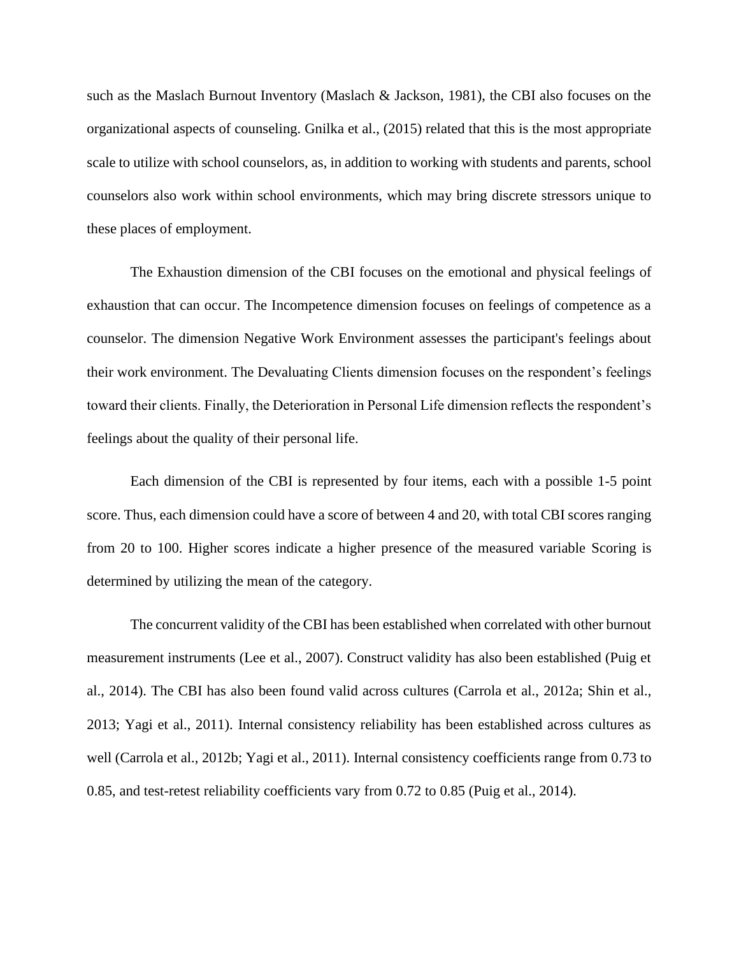such as the Maslach Burnout Inventory (Maslach & Jackson, 1981), the CBI also focuses on the organizational aspects of counseling. Gnilka et al., (2015) related that this is the most appropriate scale to utilize with school counselors, as, in addition to working with students and parents, school counselors also work within school environments, which may bring discrete stressors unique to these places of employment.

The Exhaustion dimension of the CBI focuses on the emotional and physical feelings of exhaustion that can occur. The Incompetence dimension focuses on feelings of competence as a counselor. The dimension Negative Work Environment assesses the participant's feelings about their work environment. The Devaluating Clients dimension focuses on the respondent's feelings toward their clients. Finally, the Deterioration in Personal Life dimension reflects the respondent's feelings about the quality of their personal life.

Each dimension of the CBI is represented by four items, each with a possible 1-5 point score. Thus, each dimension could have a score of between 4 and 20, with total CBI scores ranging from 20 to 100. Higher scores indicate a higher presence of the measured variable Scoring is determined by utilizing the mean of the category.

The concurrent validity of the CBI has been established when correlated with other burnout measurement instruments (Lee et al., 2007). Construct validity has also been established (Puig et al., 2014). The CBI has also been found valid across cultures (Carrola et al., 2012a; Shin et al., 2013; Yagi et al., 2011). Internal consistency reliability has been established across cultures as well (Carrola et al., 2012b; Yagi et al., 2011). Internal consistency coefficients range from 0.73 to 0.85, and test-retest reliability coefficients vary from 0.72 to 0.85 (Puig et al., 2014).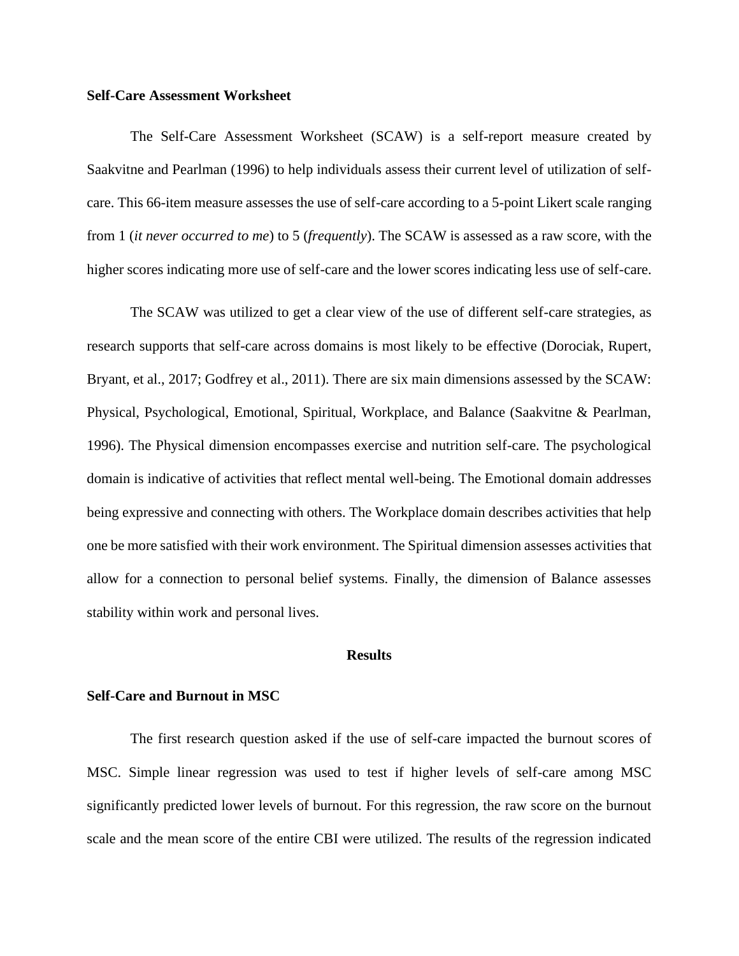## **Self-Care Assessment Worksheet**

The Self-Care Assessment Worksheet (SCAW) is a self-report measure created by Saakvitne and Pearlman (1996) to help individuals assess their current level of utilization of selfcare. This 66-item measure assesses the use of self-care according to a 5-point Likert scale ranging from 1 (*it never occurred to me*) to 5 (*frequently*). The SCAW is assessed as a raw score, with the higher scores indicating more use of self-care and the lower scores indicating less use of self-care.

The SCAW was utilized to get a clear view of the use of different self-care strategies, as research supports that self-care across domains is most likely to be effective (Dorociak, Rupert, Bryant, et al., 2017; Godfrey et al., 2011). There are six main dimensions assessed by the SCAW: Physical, Psychological, Emotional, Spiritual, Workplace, and Balance (Saakvitne & Pearlman, 1996). The Physical dimension encompasses exercise and nutrition self-care. The psychological domain is indicative of activities that reflect mental well-being. The Emotional domain addresses being expressive and connecting with others. The Workplace domain describes activities that help one be more satisfied with their work environment. The Spiritual dimension assesses activities that allow for a connection to personal belief systems. Finally, the dimension of Balance assesses stability within work and personal lives.

## **Results**

### **Self-Care and Burnout in MSC**

The first research question asked if the use of self-care impacted the burnout scores of MSC. Simple linear regression was used to test if higher levels of self-care among MSC significantly predicted lower levels of burnout. For this regression, the raw score on the burnout scale and the mean score of the entire CBI were utilized. The results of the regression indicated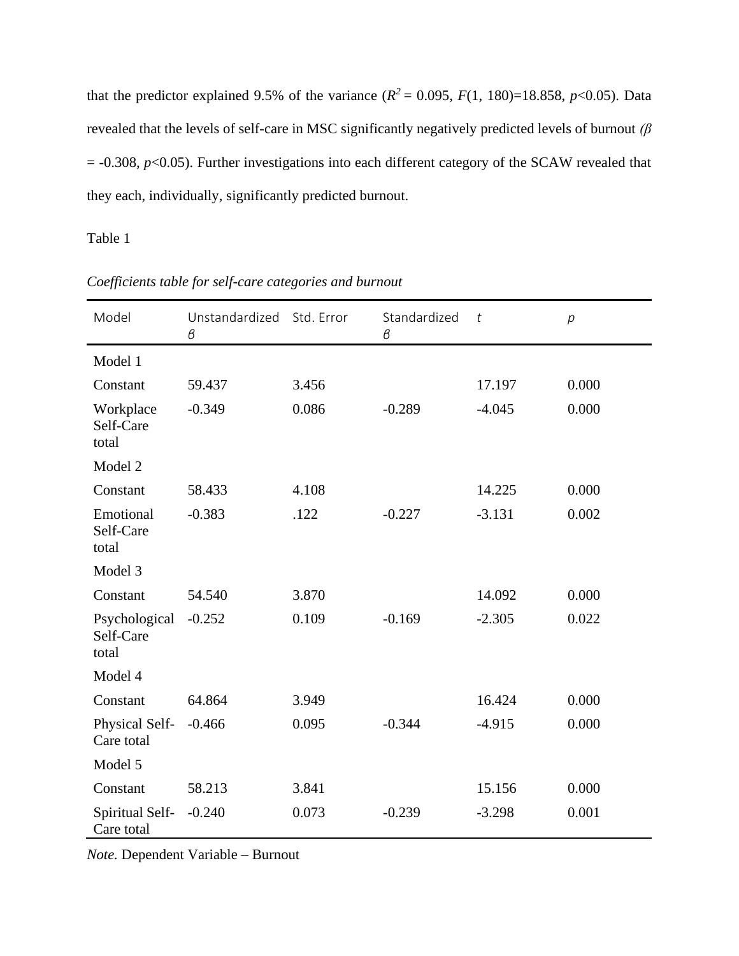that the predictor explained 9.5% of the variance  $(R^2 = 0.095, F(1, 180) = 18.858, p < 0.05)$ . Data revealed that the levels of self-care in MSC significantly negatively predicted levels of burnout *(β*  $= -0.308$ ,  $p < 0.05$ ). Further investigations into each different category of the SCAW revealed that they each, individually, significantly predicted burnout.

Table 1

| Model                               | Unstandardized<br>β | Std. Error | Standardized<br>$\beta$ | $\boldsymbol{t}$ | $\overline{p}$ |
|-------------------------------------|---------------------|------------|-------------------------|------------------|----------------|
| Model 1                             |                     |            |                         |                  |                |
| Constant                            | 59.437              | 3.456      |                         | 17.197           | 0.000          |
| Workplace<br>Self-Care<br>total     | $-0.349$            | 0.086      | $-0.289$                | $-4.045$         | 0.000          |
| Model 2                             |                     |            |                         |                  |                |
| Constant                            | 58.433              | 4.108      |                         | 14.225           | 0.000          |
| Emotional<br>Self-Care<br>total     | $-0.383$            | .122       | $-0.227$                | $-3.131$         | 0.002          |
| Model 3                             |                     |            |                         |                  |                |
| Constant                            | 54.540              | 3.870      |                         | 14.092           | 0.000          |
| Psychological<br>Self-Care<br>total | $-0.252$            | 0.109      | $-0.169$                | $-2.305$         | 0.022          |
| Model 4                             |                     |            |                         |                  |                |
| Constant                            | 64.864              | 3.949      |                         | 16.424           | 0.000          |
| Physical Self-<br>Care total        | $-0.466$            | 0.095      | $-0.344$                | $-4.915$         | 0.000          |
| Model 5                             |                     |            |                         |                  |                |
| Constant                            | 58.213              | 3.841      |                         | 15.156           | 0.000          |
| Spiritual Self-<br>Care total       | $-0.240$            | 0.073      | $-0.239$                | $-3.298$         | 0.001          |

*Coefficients table for self-care categories and burnout*

*Note.* Dependent Variable – Burnout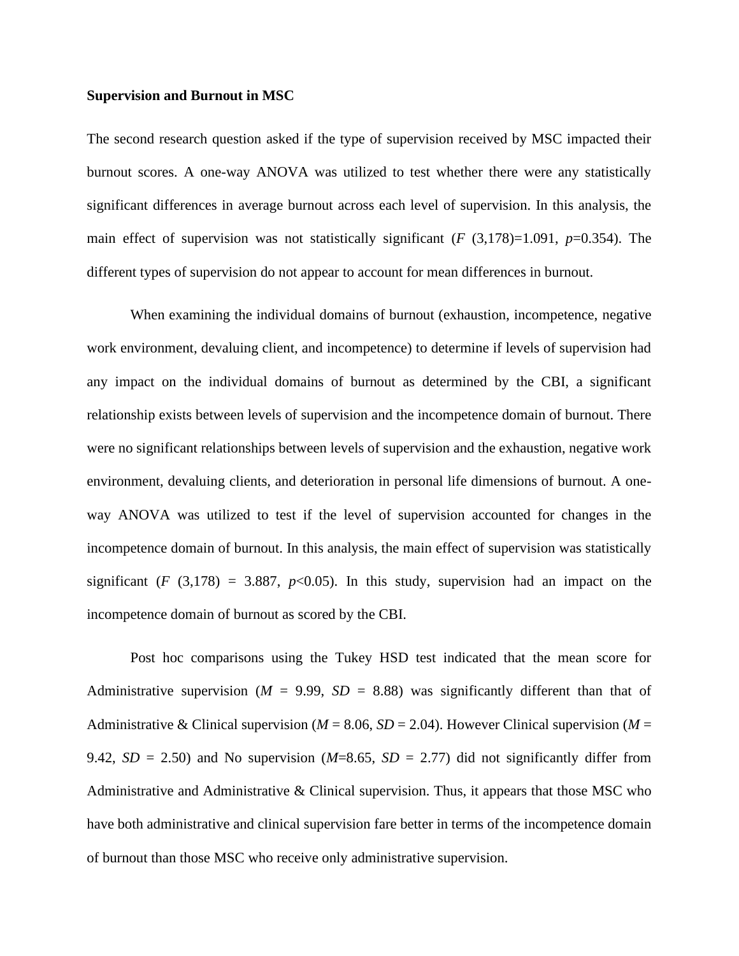#### **Supervision and Burnout in MSC**

The second research question asked if the type of supervision received by MSC impacted their burnout scores. A one-way ANOVA was utilized to test whether there were any statistically significant differences in average burnout across each level of supervision. In this analysis, the main effect of supervision was not statistically significant (*F* (3,178)=1.091, *p*=0.354). The different types of supervision do not appear to account for mean differences in burnout.

When examining the individual domains of burnout (exhaustion, incompetence, negative work environment, devaluing client, and incompetence) to determine if levels of supervision had any impact on the individual domains of burnout as determined by the CBI, a significant relationship exists between levels of supervision and the incompetence domain of burnout. There were no significant relationships between levels of supervision and the exhaustion, negative work environment, devaluing clients, and deterioration in personal life dimensions of burnout. A oneway ANOVA was utilized to test if the level of supervision accounted for changes in the incompetence domain of burnout. In this analysis, the main effect of supervision was statistically significant (*F* (3,178) = 3.887,  $p<0.05$ ). In this study, supervision had an impact on the incompetence domain of burnout as scored by the CBI.

Post hoc comparisons using the Tukey HSD test indicated that the mean score for Administrative supervision ( $M = 9.99$ ,  $SD = 8.88$ ) was significantly different than that of Administrative & Clinical supervision ( $M = 8.06$ ,  $SD = 2.04$ ). However Clinical supervision ( $M =$ 9.42,  $SD = 2.50$ ) and No supervision ( $M=8.65$ ,  $SD = 2.77$ ) did not significantly differ from Administrative and Administrative & Clinical supervision. Thus, it appears that those MSC who have both administrative and clinical supervision fare better in terms of the incompetence domain of burnout than those MSC who receive only administrative supervision.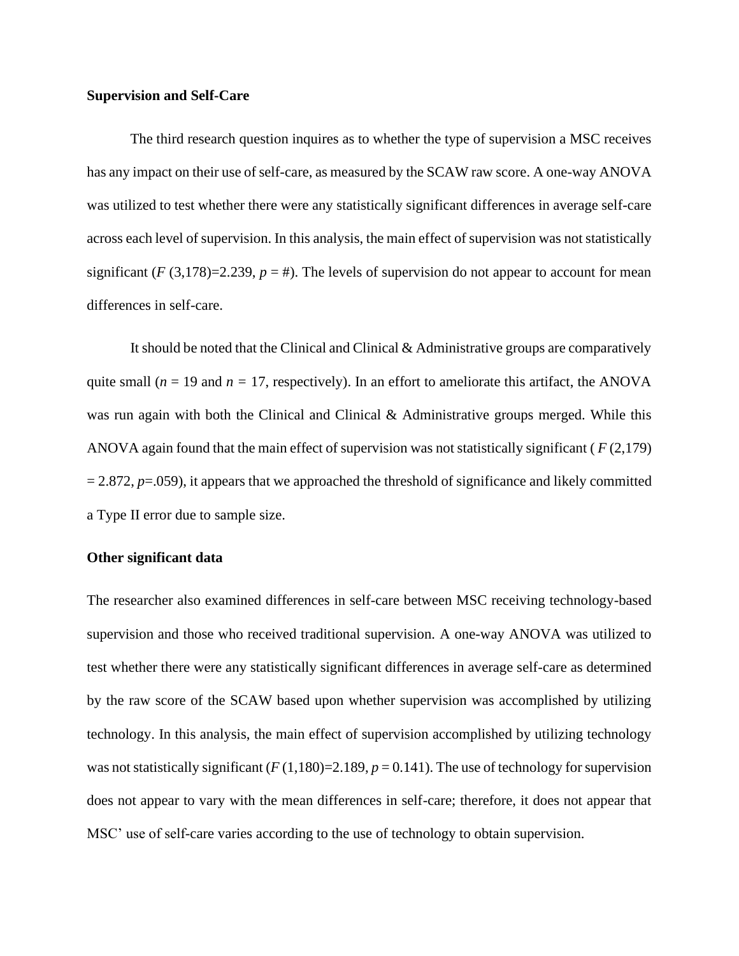## **Supervision and Self-Care**

The third research question inquires as to whether the type of supervision a MSC receives has any impact on their use of self-care, as measured by the SCAW raw score. A one-way ANOVA was utilized to test whether there were any statistically significant differences in average self-care across each level of supervision. In this analysis, the main effect of supervision was not statistically significant ( $F(3,178)=2.239$ ,  $p = #$ ). The levels of supervision do not appear to account for mean differences in self-care.

It should be noted that the Clinical and Clinical & Administrative groups are comparatively quite small ( $n = 19$  and  $n = 17$ , respectively). In an effort to ameliorate this artifact, the ANOVA was run again with both the Clinical and Clinical & Administrative groups merged. While this ANOVA again found that the main effect of supervision was not statistically significant ( *F* (2,179)  $= 2.872$ ,  $p = .059$ ), it appears that we approached the threshold of significance and likely committed a Type II error due to sample size.

## **Other significant data**

The researcher also examined differences in self-care between MSC receiving technology-based supervision and those who received traditional supervision. A one-way ANOVA was utilized to test whether there were any statistically significant differences in average self-care as determined by the raw score of the SCAW based upon whether supervision was accomplished by utilizing technology. In this analysis, the main effect of supervision accomplished by utilizing technology was not statistically significant  $(F(1,180)=2.189, p=0.141)$ . The use of technology for supervision does not appear to vary with the mean differences in self-care; therefore, it does not appear that MSC' use of self-care varies according to the use of technology to obtain supervision.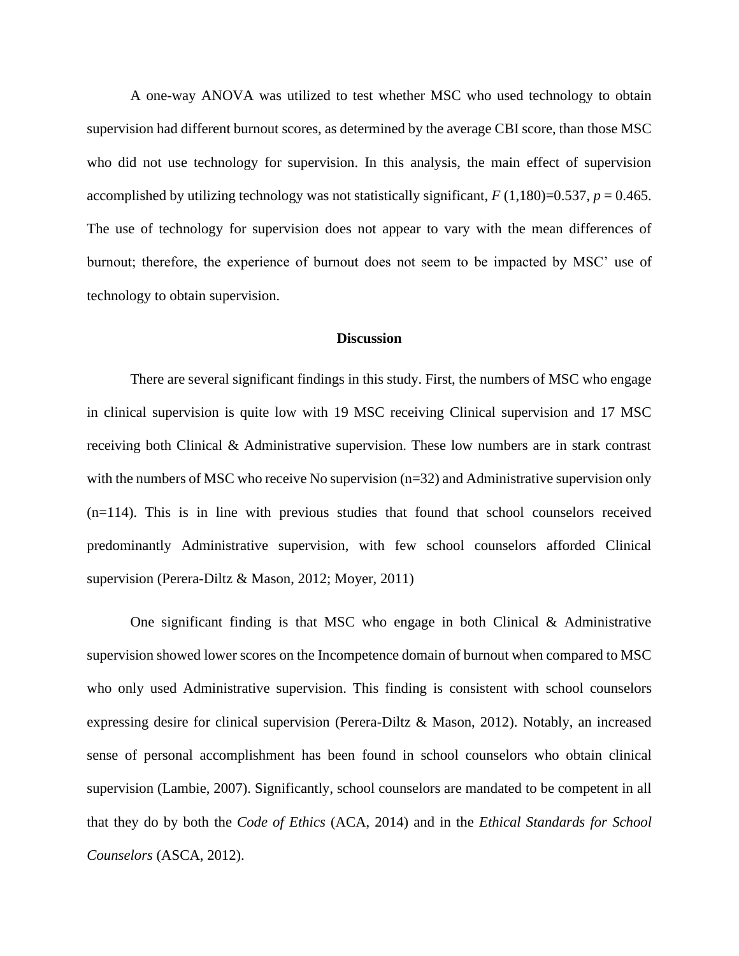A one-way ANOVA was utilized to test whether MSC who used technology to obtain supervision had different burnout scores, as determined by the average CBI score, than those MSC who did not use technology for supervision. In this analysis, the main effect of supervision accomplished by utilizing technology was not statistically significant,  $F(1,180)=0.537$ ,  $p = 0.465$ . The use of technology for supervision does not appear to vary with the mean differences of burnout; therefore, the experience of burnout does not seem to be impacted by MSC' use of technology to obtain supervision.

# **Discussion**

There are several significant findings in this study. First, the numbers of MSC who engage in clinical supervision is quite low with 19 MSC receiving Clinical supervision and 17 MSC receiving both Clinical & Administrative supervision. These low numbers are in stark contrast with the numbers of MSC who receive No supervision (n=32) and Administrative supervision only (n=114). This is in line with previous studies that found that school counselors received predominantly Administrative supervision, with few school counselors afforded Clinical supervision (Perera-Diltz & Mason, 2012; Moyer, 2011)

One significant finding is that MSC who engage in both Clinical  $\&$  Administrative supervision showed lower scores on the Incompetence domain of burnout when compared to MSC who only used Administrative supervision. This finding is consistent with school counselors expressing desire for clinical supervision (Perera-Diltz & Mason, 2012). Notably, an increased sense of personal accomplishment has been found in school counselors who obtain clinical supervision (Lambie, 2007). Significantly, school counselors are mandated to be competent in all that they do by both the *Code of Ethics* (ACA, 2014) and in the *Ethical Standards for School Counselors* (ASCA, 2012).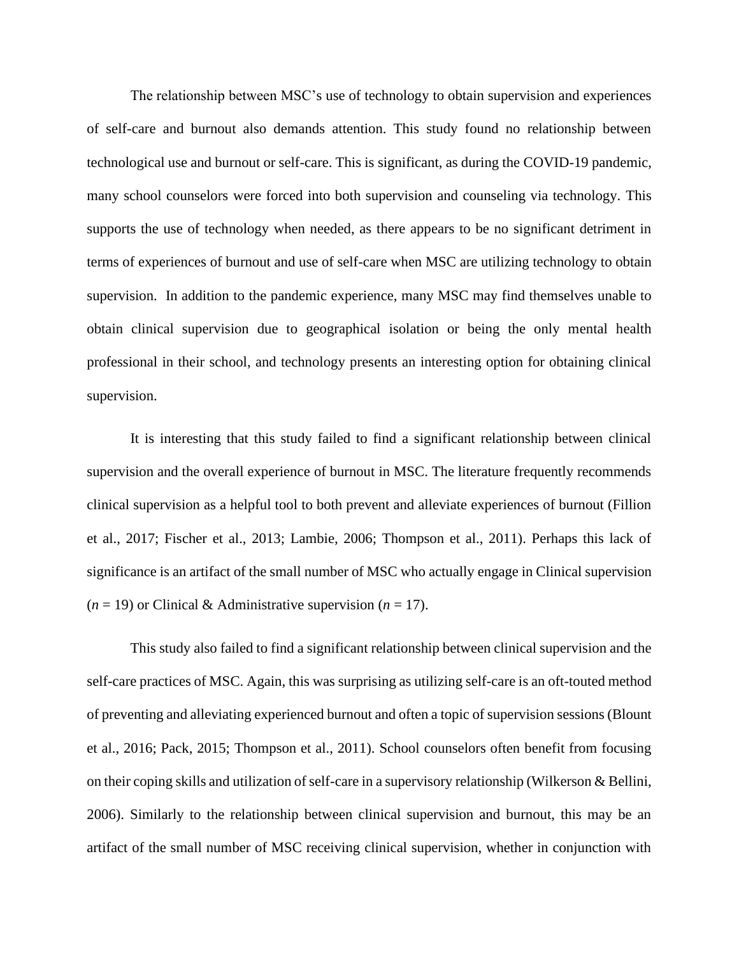The relationship between MSC's use of technology to obtain supervision and experiences of self-care and burnout also demands attention. This study found no relationship between technological use and burnout or self-care. This is significant, as during the COVID-19 pandemic, many school counselors were forced into both supervision and counseling via technology. This supports the use of technology when needed, as there appears to be no significant detriment in terms of experiences of burnout and use of self-care when MSC are utilizing technology to obtain supervision. In addition to the pandemic experience, many MSC may find themselves unable to obtain clinical supervision due to geographical isolation or being the only mental health professional in their school, and technology presents an interesting option for obtaining clinical supervision.

It is interesting that this study failed to find a significant relationship between clinical supervision and the overall experience of burnout in MSC. The literature frequently recommends clinical supervision as a helpful tool to both prevent and alleviate experiences of burnout (Fillion et al., 2017; Fischer et al., 2013; Lambie, 2006; Thompson et al., 2011). Perhaps this lack of significance is an artifact of the small number of MSC who actually engage in Clinical supervision  $(n = 19)$  or Clinical & Administrative supervision  $(n = 17)$ .

This study also failed to find a significant relationship between clinical supervision and the self-care practices of MSC. Again, this was surprising as utilizing self-care is an oft-touted method of preventing and alleviating experienced burnout and often a topic of supervision sessions (Blount et al., 2016; Pack, 2015; Thompson et al., 2011). School counselors often benefit from focusing on their coping skills and utilization of self-care in a supervisory relationship (Wilkerson & Bellini, 2006). Similarly to the relationship between clinical supervision and burnout, this may be an artifact of the small number of MSC receiving clinical supervision, whether in conjunction with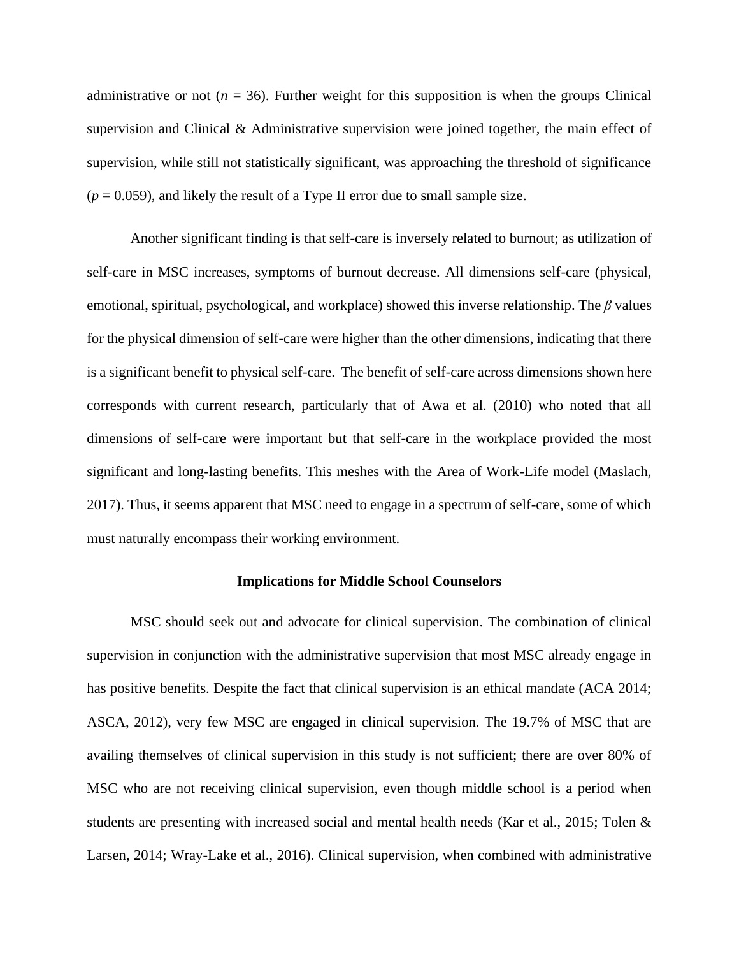administrative or not ( $n = 36$ ). Further weight for this supposition is when the groups Clinical supervision and Clinical & Administrative supervision were joined together, the main effect of supervision, while still not statistically significant, was approaching the threshold of significance  $(p = 0.059)$ , and likely the result of a Type II error due to small sample size.

Another significant finding is that self-care is inversely related to burnout; as utilization of self-care in MSC increases, symptoms of burnout decrease. All dimensions self-care (physical, emotional, spiritual, psychological, and workplace) showed this inverse relationship. The *β* values for the physical dimension of self-care were higher than the other dimensions, indicating that there is a significant benefit to physical self-care. The benefit of self-care across dimensions shown here corresponds with current research, particularly that of Awa et al. (2010) who noted that all dimensions of self-care were important but that self-care in the workplace provided the most significant and long-lasting benefits. This meshes with the Area of Work-Life model (Maslach, 2017). Thus, it seems apparent that MSC need to engage in a spectrum of self-care, some of which must naturally encompass their working environment.

## **Implications for Middle School Counselors**

MSC should seek out and advocate for clinical supervision. The combination of clinical supervision in conjunction with the administrative supervision that most MSC already engage in has positive benefits. Despite the fact that clinical supervision is an ethical mandate (ACA 2014; ASCA, 2012), very few MSC are engaged in clinical supervision. The 19.7% of MSC that are availing themselves of clinical supervision in this study is not sufficient; there are over 80% of MSC who are not receiving clinical supervision, even though middle school is a period when students are presenting with increased social and mental health needs (Kar et al., 2015; Tolen & Larsen, 2014; Wray-Lake et al., 2016). Clinical supervision, when combined with administrative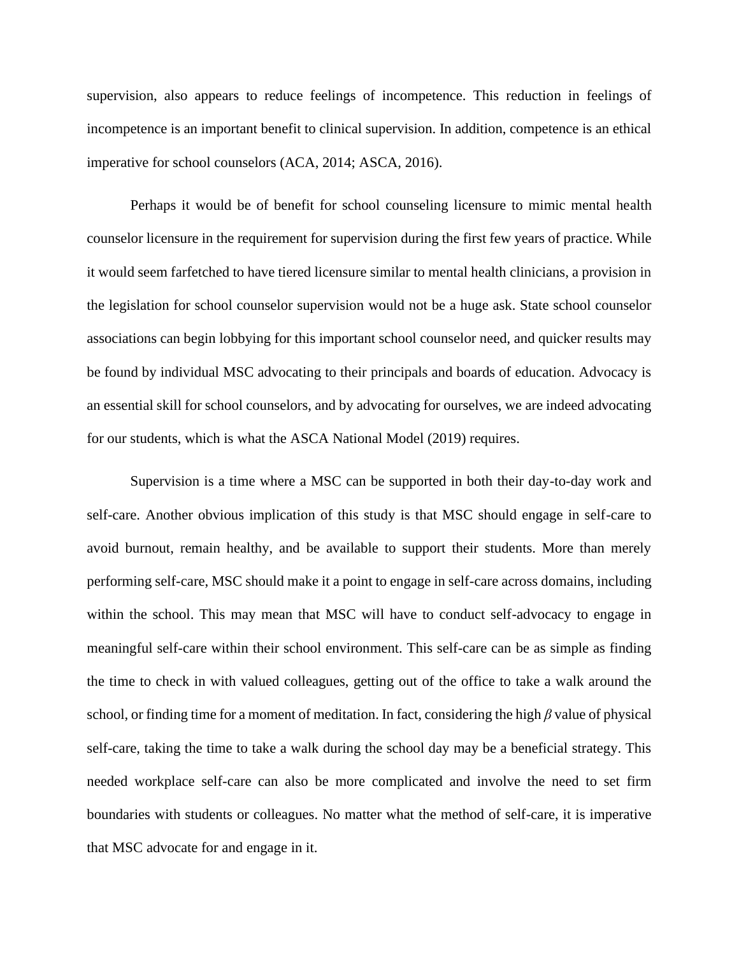supervision, also appears to reduce feelings of incompetence. This reduction in feelings of incompetence is an important benefit to clinical supervision. In addition, competence is an ethical imperative for school counselors (ACA, 2014; ASCA, 2016).

Perhaps it would be of benefit for school counseling licensure to mimic mental health counselor licensure in the requirement for supervision during the first few years of practice. While it would seem farfetched to have tiered licensure similar to mental health clinicians, a provision in the legislation for school counselor supervision would not be a huge ask. State school counselor associations can begin lobbying for this important school counselor need, and quicker results may be found by individual MSC advocating to their principals and boards of education. Advocacy is an essential skill for school counselors, and by advocating for ourselves, we are indeed advocating for our students, which is what the ASCA National Model (2019) requires.

Supervision is a time where a MSC can be supported in both their day-to-day work and self-care. Another obvious implication of this study is that MSC should engage in self-care to avoid burnout, remain healthy, and be available to support their students. More than merely performing self-care, MSC should make it a point to engage in self-care across domains, including within the school. This may mean that MSC will have to conduct self-advocacy to engage in meaningful self-care within their school environment. This self-care can be as simple as finding the time to check in with valued colleagues, getting out of the office to take a walk around the school, or finding time for a moment of meditation. In fact, considering the high *β* value of physical self-care, taking the time to take a walk during the school day may be a beneficial strategy. This needed workplace self-care can also be more complicated and involve the need to set firm boundaries with students or colleagues. No matter what the method of self-care, it is imperative that MSC advocate for and engage in it.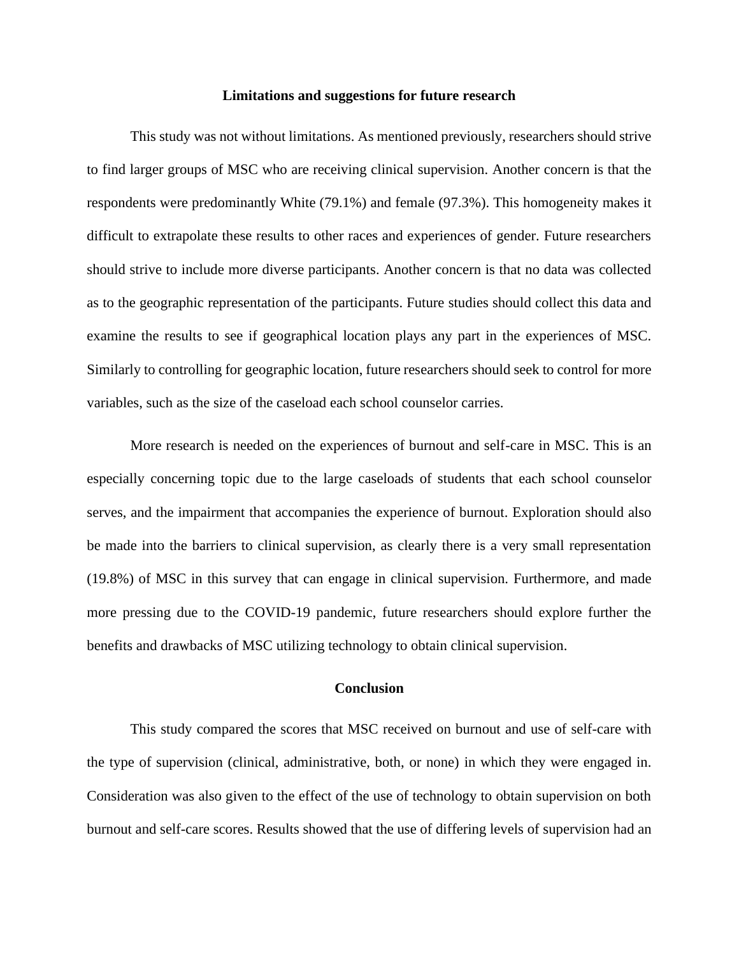## **Limitations and suggestions for future research**

This study was not without limitations. As mentioned previously, researchers should strive to find larger groups of MSC who are receiving clinical supervision. Another concern is that the respondents were predominantly White (79.1%) and female (97.3%). This homogeneity makes it difficult to extrapolate these results to other races and experiences of gender. Future researchers should strive to include more diverse participants. Another concern is that no data was collected as to the geographic representation of the participants. Future studies should collect this data and examine the results to see if geographical location plays any part in the experiences of MSC. Similarly to controlling for geographic location, future researchers should seek to control for more variables, such as the size of the caseload each school counselor carries.

More research is needed on the experiences of burnout and self-care in MSC. This is an especially concerning topic due to the large caseloads of students that each school counselor serves, and the impairment that accompanies the experience of burnout. Exploration should also be made into the barriers to clinical supervision, as clearly there is a very small representation (19.8%) of MSC in this survey that can engage in clinical supervision. Furthermore, and made more pressing due to the COVID-19 pandemic, future researchers should explore further the benefits and drawbacks of MSC utilizing technology to obtain clinical supervision.

## **Conclusion**

This study compared the scores that MSC received on burnout and use of self-care with the type of supervision (clinical, administrative, both, or none) in which they were engaged in. Consideration was also given to the effect of the use of technology to obtain supervision on both burnout and self-care scores. Results showed that the use of differing levels of supervision had an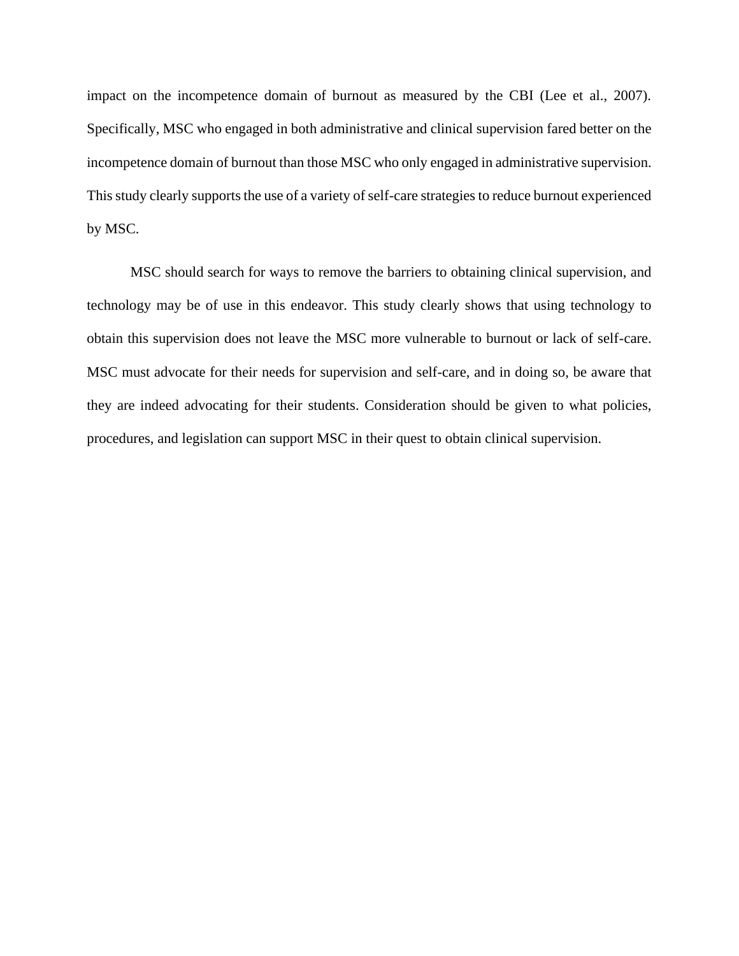impact on the incompetence domain of burnout as measured by the CBI (Lee et al., 2007). Specifically, MSC who engaged in both administrative and clinical supervision fared better on the incompetence domain of burnout than those MSC who only engaged in administrative supervision. This study clearly supports the use of a variety of self-care strategies to reduce burnout experienced by MSC.

MSC should search for ways to remove the barriers to obtaining clinical supervision, and technology may be of use in this endeavor. This study clearly shows that using technology to obtain this supervision does not leave the MSC more vulnerable to burnout or lack of self-care. MSC must advocate for their needs for supervision and self-care, and in doing so, be aware that they are indeed advocating for their students. Consideration should be given to what policies, procedures, and legislation can support MSC in their quest to obtain clinical supervision.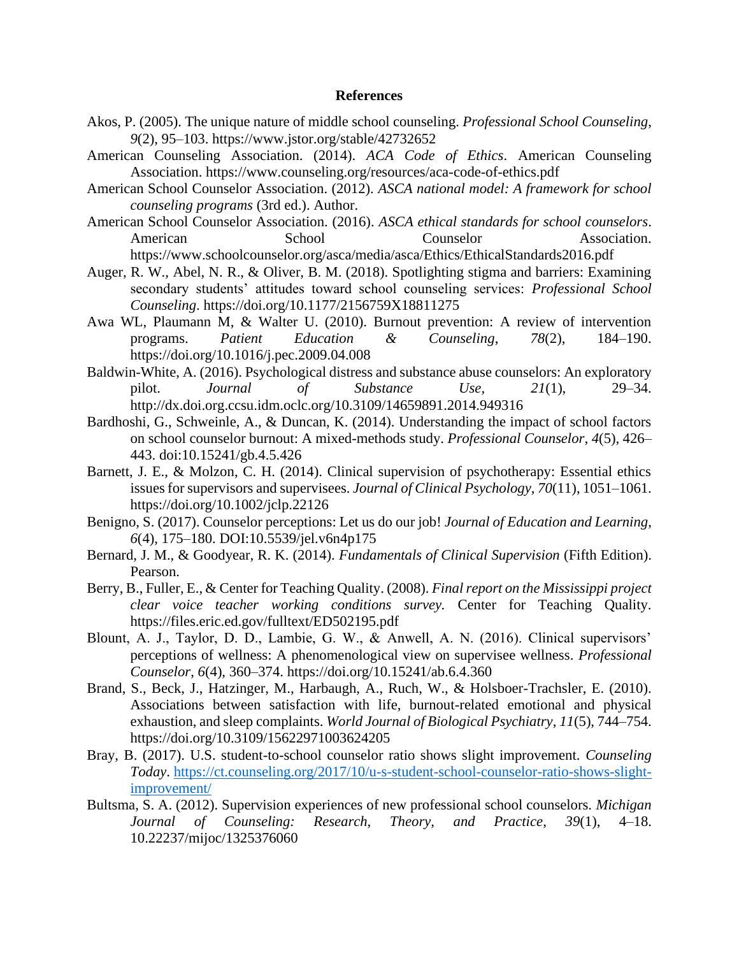#### **References**

- Akos, P. (2005). The unique nature of middle school counseling. *Professional School Counseling*, *9*(2), 95–103. https://www.jstor.org/stable/42732652
- American Counseling Association. (2014). *ACA Code of Ethics*. American Counseling Association. https://www.counseling.org/resources/aca-code-of-ethics.pdf
- American School Counselor Association. (2012). *ASCA national model: A framework for school counseling programs* (3rd ed.). Author.
- American School Counselor Association. (2016). *ASCA ethical standards for school counselors*. American School Counselor Association. https://www.schoolcounselor.org/asca/media/asca/Ethics/EthicalStandards2016.pdf
- Auger, R. W., Abel, N. R., & Oliver, B. M. (2018). Spotlighting stigma and barriers: Examining secondary students' attitudes toward school counseling services: *Professional School Counseling*. https://doi.org/10.1177/2156759X18811275
- Awa WL, Plaumann M, & Walter U. (2010). Burnout prevention: A review of intervention programs. *Patient Education & Counseling*, *78*(2), 184–190. https://doi.org/10.1016/j.pec.2009.04.008
- Baldwin-White, A. (2016). Psychological distress and substance abuse counselors: An exploratory pilot. *Journal of Substance Use*, *21*(1), 29–34. http://dx.doi.org.ccsu.idm.oclc.org/10.3109/14659891.2014.949316
- Bardhoshi, G., Schweinle, A., & Duncan, K. (2014). Understanding the impact of school factors on school counselor burnout: A mixed-methods study. *Professional Counselor*, *4*(5), 426– 443. doi:10.15241/gb.4.5.426
- Barnett, J. E., & Molzon, C. H. (2014). Clinical supervision of psychotherapy: Essential ethics issues for supervisors and supervisees. *Journal of Clinical Psychology*, *70*(11), 1051–1061. https://doi.org/10.1002/jclp.22126
- Benigno, S. (2017). Counselor perceptions: Let us do our job! *Journal of Education and Learning*, *6*(4), 175–180. DOI:10.5539/jel.v6n4p175
- Bernard, J. M., & Goodyear, R. K. (2014). *Fundamentals of Clinical Supervision* (Fifth Edition). Pearson.
- Berry, B., Fuller, E., & Center for Teaching Quality. (2008). *Final report on the Mississippi project clear voice teacher working conditions survey.* Center for Teaching Quality. https://files.eric.ed.gov/fulltext/ED502195.pdf
- Blount, A. J., Taylor, D. D., Lambie, G. W., & Anwell, A. N. (2016). Clinical supervisors' perceptions of wellness: A phenomenological view on supervisee wellness. *Professional Counselor*, *6*(4), 360–374. https://doi.org/10.15241/ab.6.4.360
- Brand, S., Beck, J., Hatzinger, M., Harbaugh, A., Ruch, W., & Holsboer-Trachsler, E. (2010). Associations between satisfaction with life, burnout-related emotional and physical exhaustion, and sleep complaints. *World Journal of Biological Psychiatry*, *11*(5), 744–754. https://doi.org/10.3109/15622971003624205
- Bray, B. (2017). U.S. student-to-school counselor ratio shows slight improvement. *Counseling Today*. [https://ct.counseling.org/2017/10/u-s-student-school-counselor-ratio-shows-slight](https://ct.counseling.org/2017/10/u-s-student-school-counselor-ratio-shows-slight-improvement/)[improvement/](https://ct.counseling.org/2017/10/u-s-student-school-counselor-ratio-shows-slight-improvement/)
- Bultsma, S. A. (2012). Supervision experiences of new professional school counselors. *Michigan Journal of Counseling: Research, Theory, and Practice*, *39*(1), 4–18. 10.22237/mijoc/1325376060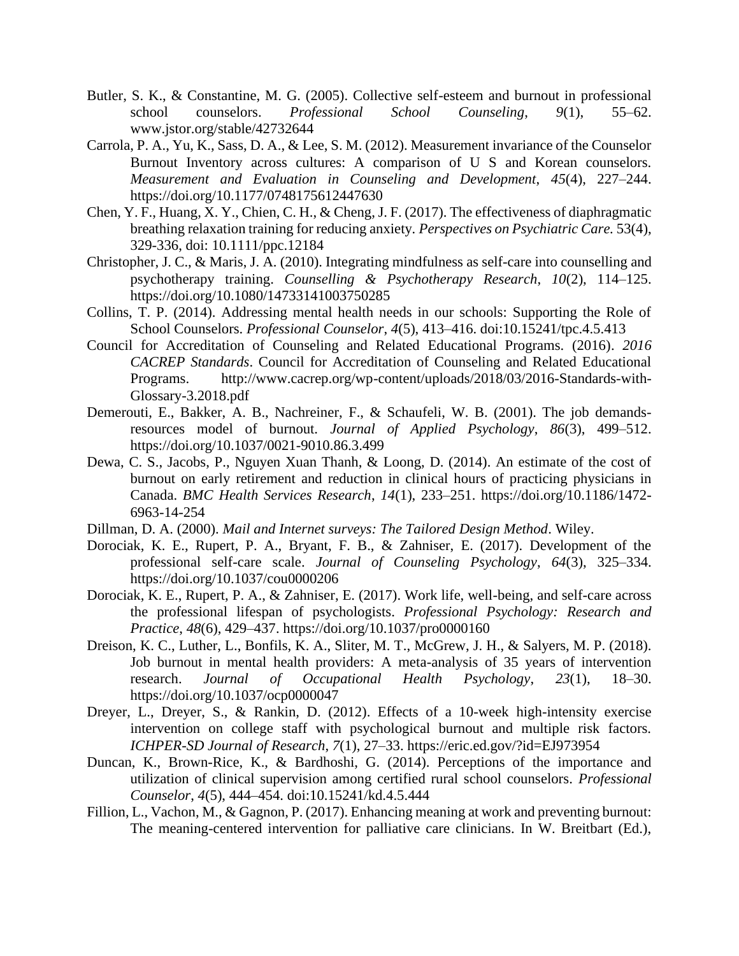- Butler, S. K., & Constantine, M. G. (2005). Collective self-esteem and burnout in professional school counselors. *Professional School Counseling*, *9*(1), 55–62. www.jstor.org/stable/42732644
- Carrola, P. A., Yu, K., Sass, D. A., & Lee, S. M. (2012). Measurement invariance of the Counselor Burnout Inventory across cultures: A comparison of U S and Korean counselors. *Measurement and Evaluation in Counseling and Development*, *45*(4), 227–244. https://doi.org/10.1177/0748175612447630
- Chen, Y. F., Huang, X. Y., Chien, C. H., & Cheng, J. F. (2017). The effectiveness of diaphragmatic breathing relaxation training for reducing anxiety*. Perspectives on Psychiatric Care.* 53(4), 329-336, doi: 10.1111/ppc.12184
- Christopher, J. C., & Maris, J. A. (2010). Integrating mindfulness as self-care into counselling and psychotherapy training. *Counselling & Psychotherapy Research*, *10*(2), 114–125. https://doi.org/10.1080/14733141003750285
- Collins, T. P. (2014). Addressing mental health needs in our schools: Supporting the Role of School Counselors. *Professional Counselor*, *4*(5), 413–416. doi:10.15241/tpc.4.5.413
- Council for Accreditation of Counseling and Related Educational Programs. (2016). *2016 CACREP Standards*. Council for Accreditation of Counseling and Related Educational Programs. http://www.cacrep.org/wp-content/uploads/2018/03/2016-Standards-with-Glossary-3.2018.pdf
- Demerouti, E., Bakker, A. B., Nachreiner, F., & Schaufeli, W. B. (2001). The job demandsresources model of burnout. *Journal of Applied Psychology*, *86*(3), 499–512. https://doi.org/10.1037/0021-9010.86.3.499
- Dewa, C. S., Jacobs, P., Nguyen Xuan Thanh, & Loong, D. (2014). An estimate of the cost of burnout on early retirement and reduction in clinical hours of practicing physicians in Canada. *BMC Health Services Research*, *14*(1), 233–251. https://doi.org/10.1186/1472- 6963-14-254
- Dillman, D. A. (2000). *Mail and Internet surveys: The Tailored Design Method*. Wiley.
- Dorociak, K. E., Rupert, P. A., Bryant, F. B., & Zahniser, E. (2017). Development of the professional self-care scale. *Journal of Counseling Psychology*, *64*(3), 325–334. https://doi.org/10.1037/cou0000206
- Dorociak, K. E., Rupert, P. A., & Zahniser, E. (2017). Work life, well-being, and self-care across the professional lifespan of psychologists. *Professional Psychology: Research and Practice*, *48*(6), 429–437. https://doi.org/10.1037/pro0000160
- Dreison, K. C., Luther, L., Bonfils, K. A., Sliter, M. T., McGrew, J. H., & Salyers, M. P. (2018). Job burnout in mental health providers: A meta-analysis of 35 years of intervention research. *Journal of Occupational Health Psychology*, *23*(1), 18–30. https://doi.org/10.1037/ocp0000047
- Dreyer, L., Dreyer, S., & Rankin, D. (2012). Effects of a 10-week high-intensity exercise intervention on college staff with psychological burnout and multiple risk factors. *ICHPER-SD Journal of Research*, *7*(1), 27–33. https://eric.ed.gov/?id=EJ973954
- Duncan, K., Brown-Rice, K., & Bardhoshi, G. (2014). Perceptions of the importance and utilization of clinical supervision among certified rural school counselors. *Professional Counselor*, *4*(5), 444–454. doi:10.15241/kd.4.5.444
- Fillion, L., Vachon, M., & Gagnon, P. (2017). Enhancing meaning at work and preventing burnout: The meaning-centered intervention for palliative care clinicians. In W. Breitbart (Ed.),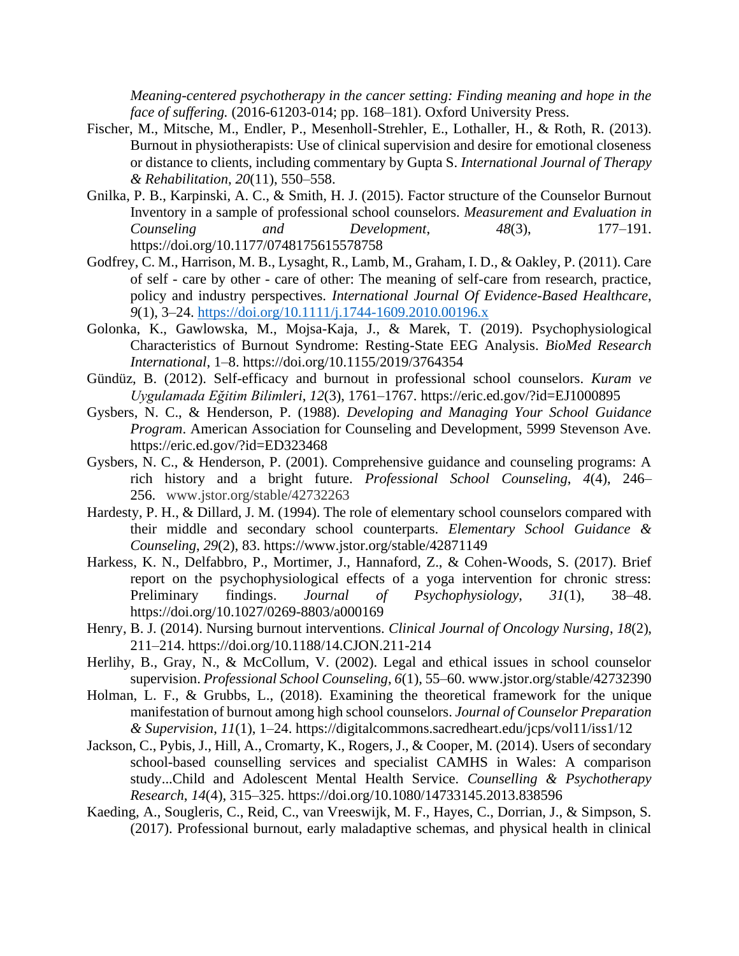*Meaning-centered psychotherapy in the cancer setting: Finding meaning and hope in the face of suffering.* (2016-61203-014; pp. 168–181). Oxford University Press.

- Fischer, M., Mitsche, M., Endler, P., Mesenholl-Strehler, E., Lothaller, H., & Roth, R. (2013). Burnout in physiotherapists: Use of clinical supervision and desire for emotional closeness or distance to clients, including commentary by Gupta S. *International Journal of Therapy & Rehabilitation*, *20*(11), 550–558.
- Gnilka, P. B., Karpinski, A. C., & Smith, H. J. (2015). Factor structure of the Counselor Burnout Inventory in a sample of professional school counselors. *Measurement and Evaluation in Counseling and Development*, *48*(3), 177–191. https://doi.org/10.1177/0748175615578758
- Godfrey, C. M., Harrison, M. B., Lysaght, R., Lamb, M., Graham, I. D., & Oakley, P. (2011). Care of self - care by other - care of other: The meaning of self-care from research, practice, policy and industry perspectives. *International Journal Of Evidence-Based Healthcare*, *9*(1), 3–24. https://doi.org/10.1111/j.1744-1609.2010.00196.x
- Golonka, K., Gawlowska, M., Mojsa-Kaja, J., & Marek, T. (2019). Psychophysiological Characteristics of Burnout Syndrome: Resting-State EEG Analysis. *BioMed Research International*, 1–8. https://doi.org/10.1155/2019/3764354
- Gündüz, B. (2012). Self-efficacy and burnout in professional school counselors. *Kuram ve Uygulamada Eğitim Bilimleri*, *12*(3), 1761–1767. https://eric.ed.gov/?id=EJ1000895
- Gysbers, N. C., & Henderson, P. (1988). *Developing and Managing Your School Guidance Program*. American Association for Counseling and Development, 5999 Stevenson Ave. https://eric.ed.gov/?id=ED323468
- Gysbers, N. C., & Henderson, P. (2001). Comprehensive guidance and counseling programs: A rich history and a bright future. *Professional School Counseling*, *4*(4), 246– 256. www.jstor.org/stable/42732263
- Hardesty, P. H., & Dillard, J. M. (1994). The role of elementary school counselors compared with their middle and secondary school counterparts. *Elementary School Guidance & Counseling*, *29*(2), 83. https://www.jstor.org/stable/42871149
- Harkess, K. N., Delfabbro, P., Mortimer, J., Hannaford, Z., & Cohen-Woods, S. (2017). Brief report on the psychophysiological effects of a yoga intervention for chronic stress: Preliminary findings. *Journal of Psychophysiology*, *31*(1), 38–48. https://doi.org/10.1027/0269-8803/a000169
- Henry, B. J. (2014). Nursing burnout interventions. *Clinical Journal of Oncology Nursing*, *18*(2), 211–214. https://doi.org/10.1188/14.CJON.211-214
- Herlihy, B., Gray, N., & McCollum, V. (2002). Legal and ethical issues in school counselor supervision. *Professional School Counseling*, *6*(1), 55–60. www.jstor.org/stable/42732390
- Holman, L. F., & Grubbs, L., (2018). Examining the theoretical framework for the unique manifestation of burnout among high school counselors. *Journal of Counselor Preparation & Supervision*, *11*(1), 1–24. https://digitalcommons.sacredheart.edu/jcps/vol11/iss1/12
- Jackson, C., Pybis, J., Hill, A., Cromarty, K., Rogers, J., & Cooper, M. (2014). Users of secondary school-based counselling services and specialist CAMHS in Wales: A comparison study...Child and Adolescent Mental Health Service. *Counselling & Psychotherapy Research*, *14*(4), 315–325. https://doi.org/10.1080/14733145.2013.838596
- Kaeding, A., Sougleris, C., Reid, C., van Vreeswijk, M. F., Hayes, C., Dorrian, J., & Simpson, S. (2017). Professional burnout, early maladaptive schemas, and physical health in clinical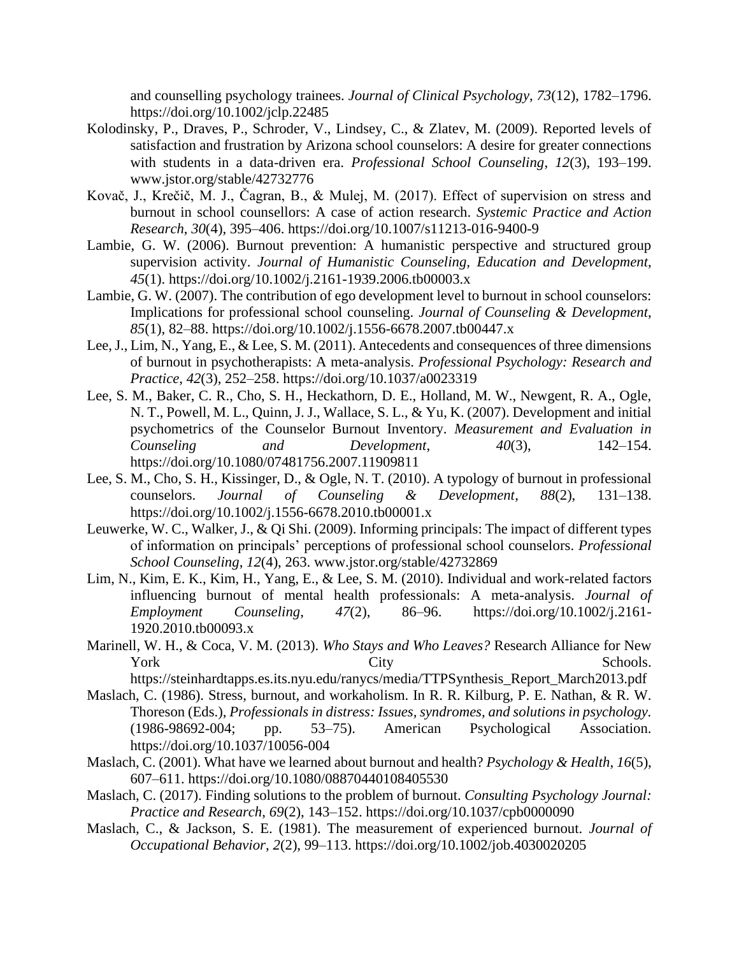and counselling psychology trainees. *Journal of Clinical Psychology*, *73*(12), 1782–1796. https://doi.org/10.1002/jclp.22485

- Kolodinsky, P., Draves, P., Schroder, V., Lindsey, C., & Zlatev, M. (2009). Reported levels of satisfaction and frustration by Arizona school counselors: A desire for greater connections with students in a data-driven era. *Professional School Counseling*, *12*(3), 193–199. www.jstor.org/stable/42732776
- Kovač, J., Krečič, M. J., Čagran, B., & Mulej, M. (2017). Effect of supervision on stress and burnout in school counsellors: A case of action research. *Systemic Practice and Action Research*, *30*(4), 395–406. https://doi.org/10.1007/s11213-016-9400-9
- Lambie, G. W. (2006). Burnout prevention: A humanistic perspective and structured group supervision activity. *Journal of Humanistic Counseling, Education and Development*, *45*(1). https://doi.org/10.1002/j.2161-1939.2006.tb00003.x
- Lambie, G. W. (2007). The contribution of ego development level to burnout in school counselors: Implications for professional school counseling. *Journal of Counseling & Development*, *85*(1), 82–88. https://doi.org/10.1002/j.1556-6678.2007.tb00447.x
- Lee, J., Lim, N., Yang, E., & Lee, S. M. (2011). Antecedents and consequences of three dimensions of burnout in psychotherapists: A meta-analysis. *Professional Psychology: Research and Practice*, *42*(3), 252–258. https://doi.org/10.1037/a0023319
- Lee, S. M., Baker, C. R., Cho, S. H., Heckathorn, D. E., Holland, M. W., Newgent, R. A., Ogle, N. T., Powell, M. L., Quinn, J. J., Wallace, S. L., & Yu, K. (2007). Development and initial psychometrics of the Counselor Burnout Inventory. *Measurement and Evaluation in Counseling and Development*, *40*(3), 142–154. https://doi.org/10.1080/07481756.2007.11909811
- Lee, S. M., Cho, S. H., Kissinger, D., & Ogle, N. T. (2010). A typology of burnout in professional counselors. *Journal of Counseling & Development*, *88*(2), 131–138. https://doi.org/10.1002/j.1556-6678.2010.tb00001.x
- Leuwerke, W. C., Walker, J., & Qi Shi. (2009). Informing principals: The impact of different types of information on principals' perceptions of professional school counselors. *Professional School Counseling*, *12*(4), 263. www.jstor.org/stable/42732869
- Lim, N., Kim, E. K., Kim, H., Yang, E., & Lee, S. M. (2010). Individual and work-related factors influencing burnout of mental health professionals: A meta-analysis. *Journal of Employment Counseling*, *47*(2), 86–96. https://doi.org/10.1002/j.2161- 1920.2010.tb00093.x
- Marinell, W. H., & Coca, V. M. (2013). *Who Stays and Who Leaves?* Research Alliance for New York City City Schools.
- https://steinhardtapps.es.its.nyu.edu/ranycs/media/TTPSynthesis\_Report\_March2013.pdf Maslach, C. (1986). Stress, burnout, and workaholism. In R. R. Kilburg, P. E. Nathan, & R. W. Thoreson (Eds.), *Professionals in distress: Issues, syndromes, and solutions in psychology.* (1986-98692-004; pp. 53–75). American Psychological Association.
- https://doi.org/10.1037/10056-004 Maslach, C. (2001). What have we learned about burnout and health? *Psychology & Health*, *16*(5), 607–611. https://doi.org/10.1080/08870440108405530
- Maslach, C. (2017). Finding solutions to the problem of burnout. *Consulting Psychology Journal: Practice and Research*, *69*(2), 143–152. https://doi.org/10.1037/cpb0000090
- Maslach, C., & Jackson, S. E. (1981). The measurement of experienced burnout. *Journal of Occupational Behavior*, *2*(2), 99–113. https://doi.org/10.1002/job.4030020205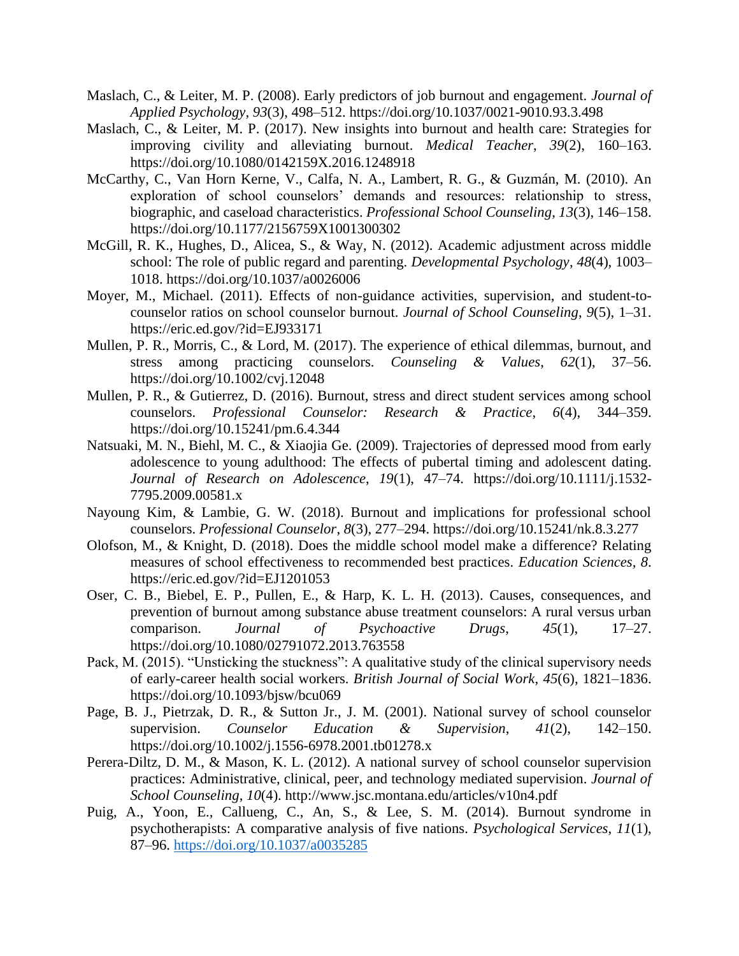- Maslach, C., & Leiter, M. P. (2008). Early predictors of job burnout and engagement. *Journal of Applied Psychology*, *93*(3), 498–512. https://doi.org/10.1037/0021-9010.93.3.498
- Maslach, C., & Leiter, M. P. (2017). New insights into burnout and health care: Strategies for improving civility and alleviating burnout. *Medical Teacher*, *39*(2), 160–163. https://doi.org/10.1080/0142159X.2016.1248918
- McCarthy, C., Van Horn Kerne, V., Calfa, N. A., Lambert, R. G., & Guzmán, M. (2010). An exploration of school counselors' demands and resources: relationship to stress, biographic, and caseload characteristics. *Professional School Counseling*, *13*(3), 146–158. https://doi.org/10.1177/2156759X1001300302
- McGill, R. K., Hughes, D., Alicea, S., & Way, N. (2012). Academic adjustment across middle school: The role of public regard and parenting. *Developmental Psychology*, *48*(4), 1003– 1018. https://doi.org/10.1037/a0026006
- Moyer, M., Michael. (2011). Effects of non-guidance activities, supervision, and student-tocounselor ratios on school counselor burnout. *Journal of School Counseling*, *9*(5), 1–31. https://eric.ed.gov/?id=EJ933171
- Mullen, P. R., Morris, C., & Lord, M. (2017). The experience of ethical dilemmas, burnout, and stress among practicing counselors. *Counseling & Values*, *62*(1), 37–56. https://doi.org/10.1002/cvj.12048
- Mullen, P. R., & Gutierrez, D. (2016). Burnout, stress and direct student services among school counselors. *Professional Counselor: Research & Practice*, *6*(4), 344–359. https://doi.org/10.15241/pm.6.4.344
- Natsuaki, M. N., Biehl, M. C., & Xiaojia Ge. (2009). Trajectories of depressed mood from early adolescence to young adulthood: The effects of pubertal timing and adolescent dating. *Journal of Research on Adolescence*, *19*(1), 47–74. https://doi.org/10.1111/j.1532- 7795.2009.00581.x
- Nayoung Kim, & Lambie, G. W. (2018). Burnout and implications for professional school counselors. *Professional Counselor*, *8*(3), 277–294. https://doi.org/10.15241/nk.8.3.277
- Olofson, M., & Knight, D. (2018). Does the middle school model make a difference? Relating measures of school effectiveness to recommended best practices. *Education Sciences*, *8*. https://eric.ed.gov/?id=EJ1201053
- Oser, C. B., Biebel, E. P., Pullen, E., & Harp, K. L. H. (2013). Causes, consequences, and prevention of burnout among substance abuse treatment counselors: A rural versus urban comparison. *Journal of Psychoactive Drugs*, *45*(1), 17–27. https://doi.org/10.1080/02791072.2013.763558
- Pack, M. (2015). "Unsticking the stuckness": A qualitative study of the clinical supervisory needs of early-career health social workers. *British Journal of Social Work*, *45*(6), 1821–1836. https://doi.org/10.1093/bjsw/bcu069
- Page, B. J., Pietrzak, D. R., & Sutton Jr., J. M. (2001). National survey of school counselor supervision. *Counselor Education & Supervision*, *41*(2), 142–150. https://doi.org/10.1002/j.1556-6978.2001.tb01278.x
- Perera-Diltz, D. M., & Mason, K. L. (2012). A national survey of school counselor supervision practices: Administrative, clinical, peer, and technology mediated supervision. *Journal of School Counseling*, *10*(4). http://www.jsc.montana.edu/articles/v10n4.pdf
- Puig, A., Yoon, E., Callueng, C., An, S., & Lee, S. M. (2014). Burnout syndrome in psychotherapists: A comparative analysis of five nations. *Psychological Services*, *11*(1), 87–96. https://doi.org/10.1037/a0035285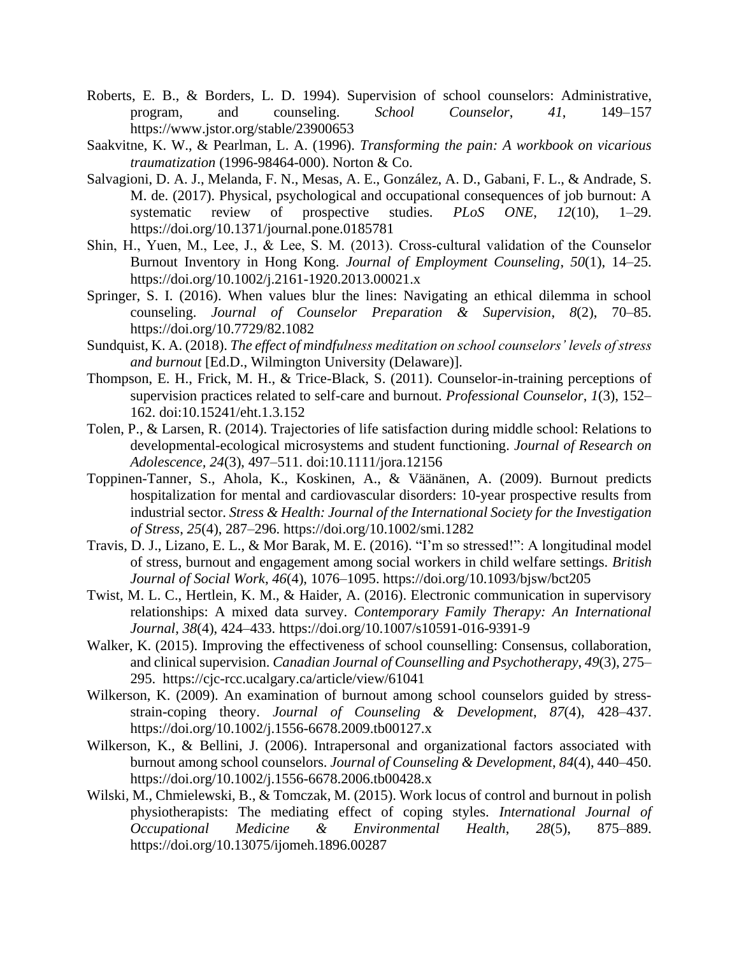- Roberts, E. B., & Borders, L. D. 1994). Supervision of school counselors: Administrative, program, and counseling. *School Counselor*, *41*, 149–157 https://www.jstor.org/stable/23900653
- Saakvitne, K. W., & Pearlman, L. A. (1996). *Transforming the pain: A workbook on vicarious traumatization* (1996-98464-000). Norton & Co.
- Salvagioni, D. A. J., Melanda, F. N., Mesas, A. E., González, A. D., Gabani, F. L., & Andrade, S. M. de. (2017). Physical, psychological and occupational consequences of job burnout: A systematic review of prospective studies. *PLoS ONE*, *12*(10), 1–29. https://doi.org/10.1371/journal.pone.0185781
- Shin, H., Yuen, M., Lee, J., & Lee, S. M. (2013). Cross-cultural validation of the Counselor Burnout Inventory in Hong Kong. *Journal of Employment Counseling*, *50*(1), 14–25. https://doi.org/10.1002/j.2161-1920.2013.00021.x
- Springer, S. I. (2016). When values blur the lines: Navigating an ethical dilemma in school counseling. *Journal of Counselor Preparation & Supervision*, *8*(2), 70–85. https://doi.org/10.7729/82.1082
- Sundquist, K. A. (2018). *The effect of mindfulness meditation on school counselors' levels of stress and burnout* [Ed.D., Wilmington University (Delaware)].
- Thompson, E. H., Frick, M. H., & Trice-Black, S. (2011). Counselor-in-training perceptions of supervision practices related to self-care and burnout. *Professional Counselor*, *1*(3), 152– 162. doi:10.15241/eht.1.3.152
- Tolen, P., & Larsen, R. (2014). Trajectories of life satisfaction during middle school: Relations to developmental-ecological microsystems and student functioning. *Journal of Research on Adolescence, 24*(3), 497–511. doi:10.1111/jora.12156
- Toppinen-Tanner, S., Ahola, K., Koskinen, A., & Väänänen, A. (2009). Burnout predicts hospitalization for mental and cardiovascular disorders: 10-year prospective results from industrial sector. *Stress & Health: Journal of the International Society for the Investigation of Stress*, *25*(4), 287–296. https://doi.org/10.1002/smi.1282
- Travis, D. J., Lizano, E. L., & Mor Barak, M. E. (2016). "I'm so stressed!": A longitudinal model of stress, burnout and engagement among social workers in child welfare settings. *British Journal of Social Work*, *46*(4), 1076–1095. https://doi.org/10.1093/bjsw/bct205
- Twist, M. L. C., Hertlein, K. M., & Haider, A. (2016). Electronic communication in supervisory relationships: A mixed data survey. *Contemporary Family Therapy: An International Journal*, *38*(4), 424–433. https://doi.org/10.1007/s10591-016-9391-9
- Walker, K. (2015). Improving the effectiveness of school counselling: Consensus, collaboration, and clinical supervision. *Canadian Journal of Counselling and Psychotherapy*, *49*(3), 275– 295. https://cjc-rcc.ucalgary.ca/article/view/61041
- Wilkerson, K. (2009). An examination of burnout among school counselors guided by stressstrain-coping theory. *Journal of Counseling & Development*, *87*(4), 428–437. https://doi.org/10.1002/j.1556-6678.2009.tb00127.x
- Wilkerson, K., & Bellini, J. (2006). Intrapersonal and organizational factors associated with burnout among school counselors. *Journal of Counseling & Development*, *84*(4), 440–450. https://doi.org/10.1002/j.1556-6678.2006.tb00428.x
- Wilski, M., Chmielewski, B., & Tomczak, M. (2015). Work locus of control and burnout in polish physiotherapists: The mediating effect of coping styles. *International Journal of Occupational Medicine & Environmental Health*, *28*(5), 875–889. https://doi.org/10.13075/ijomeh.1896.00287